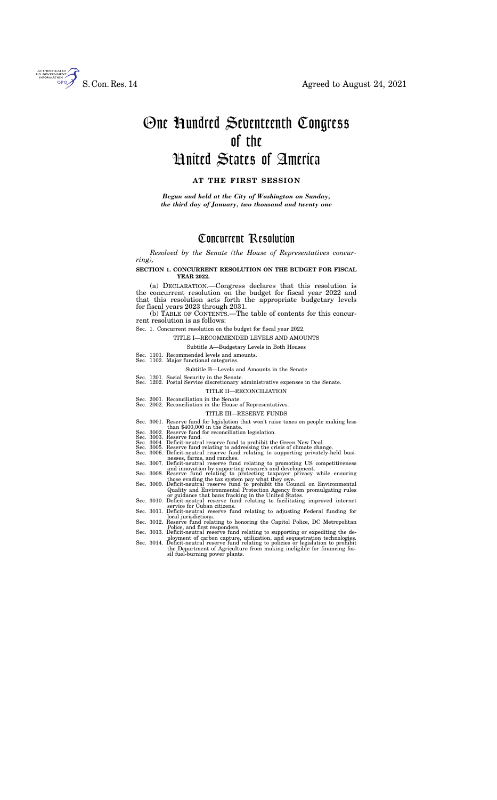*Resolved by the Senate (the House of Representatives concurring),* 

# **SECTION 1. CONCURRENT RESOLUTION ON THE BUDGET FOR FISCAL YEAR 2022.**

(a) DECLARATION.—Congress declares that this resolution is the concurrent resolution on the budget for fiscal year 2022 and that this resolution sets forth the appropriate budgetary levels for fiscal years 2023 through 2031.

(b) TABLE OF CONTENTS.—The table of contents for this concurrent resolution is as follows:

#### Sec. 1. Concurrent resolution on the budget for fiscal year 2022.

#### TITLE I—RECOMMENDED LEVELS AND AMOUNTS

#### Subtitle A—Budgetary Levels in Both Houses

- Sec. 1101. Recommended levels and amounts. Sec. 1102. Major functional categories.
- 

#### Subtitle B—Levels and Amounts in the Senate

- Sec. 1201. Social Security in the Senate.
- Sec. 1202. Postal Service discretionary administrative expenses in the Senate.

#### TITLE II—RECONCILIATION

Sec. 2001. Reconciliation in the Senate. Sec. 2002. Reconciliation in the House of Representatives.

### TITLE III—RESERVE FUNDS

- Sec. 3001. Reserve fund for legislation that won't raise taxes on people making less than \$400,000 in the Senate.<br>Sec. 3002. Reserve fund for reconciliation legislation.<br>Sec. 3003. Reserve fund.<br>Sec. 3004. Deficit-neutral reserve fund to prohibit the Green New Deal.
	-
	-
- 
- Sec. 3005. Reserve fund relating to addressing the crisis of climate change. Sec. 3006. Deficit-neutral reserve fund relating to supporting privately-held busi-
- nesses, farms, and ranches. Sec. 3007. Deficit-neutral reserve fund relating to promoting US competitiveness
- and innovation by supporting research and development. Sec. 3008. Reserve fund relating to protecting taxpayer privacy while ensuring
- those evading the tax system pay what they owe. Sec. 3009. Deficit-neutral reserve fund to prohibit the Council on Environmental Quality and Environmental Protection Agency from promulgating rules
- or guidance that bans fracking in the United States. Sec. 3010. Deficit-neutral reserve fund relating to facilitating improved internet service for Cuban citizens.
- Sec. 3011. Deficit-neutral reserve fund relating to adjusting Federal funding for
- Sec. 3012. Reserve fund relating to honoring the Capitol Police, DC Metropolitan Police, and first responders. Sec. 3013. Deficit-neutral reserve fund relating to supporting or expediting the de-
- ployment of carbon capture, utilization, and sequestration technologies. Sec. 3014. Deficit-neutral reserve fund relating to policies or legislation to prohibit
- the Department of Agriculture from making ineligible for financing fossil fuel-burning power plants.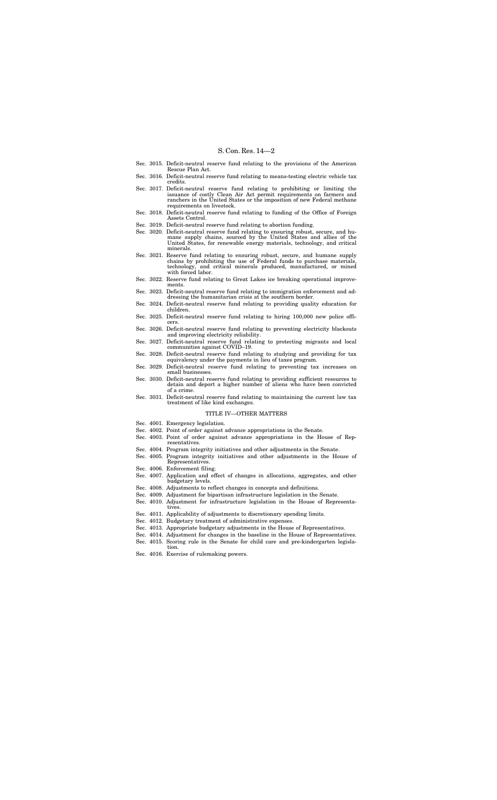- Sec. 3015. Deficit-neutral reserve fund relating to the provisions of the American Rescue Plan Act.
- Sec. 3016. Deficit-neutral reserve fund relating to means-testing electric vehicle tax credits.
- Sec. 3017. Deficit-neutral reserve fund relating to prohibiting or limiting the issuance of costly Clean Air Act permit requirements on farmers and ranchers in the United States or the imposition of new Federal methane requirements on livestock.
- Sec. 3018. Deficit-neutral reserve fund relating to funding of the Office of Foreign Assets Control.
- Sec. 3019. Deficit-neutral reserve fund relating to abortion funding.
- Sec. 3020. Deficit-neutral reserve fund relating to ensuring robust, secure, and humane supply chains, sourced by the United States and allies of the United States, for renewable energy materials, technology, and critical minerals.
- Sec. 3021. Reserve fund relating to ensuring robust, secure, and humane supply chains by prohibiting the use of Federal funds to purchase materials, and critical minerals produced, manufactured, or mined technology, and<br>with forced labor.
- Sec. 3022. Reserve fund relating to Great Lakes ice breaking operational improvements.
- Sec. 3023. Deficit-neutral reserve fund relating to immigration enforcement and addressing the humanitarian crisis at the southern border.
- Sec. 3024. Deficit-neutral reserve fund relating to providing quality education for children.
- Sec. 3025. Deficit-neutral reserve fund relating to hiring 100,000 new police officers.
- Sec. 3026. Deficit-neutral reserve fund relating to preventing electricity blackouts and improving electricity reliability.
- Sec. 3027. Deficit-neutral reserve fund relating to protecting migrants and local communities against COVID–19.
- Sec. 3028. Deficit-neutral reserve fund relating to studying and providing for tax equivalency under the payments in lieu of taxes program.
- Sec. 3029. Deficit-neutral reserve fund relating to preventing tax increases on small businesses.
- Sec. 3030. Deficit-neutral reserve fund relating to providing sufficient resources to detain and deport a higher number of aliens who have been convicted of a crime.
- Sec. 3031. Deficit-neutral reserve fund relating to maintaining the current law tax treatment of like kind exchanges.

#### TITLE IV—OTHER MATTERS

- Sec. 4001. Emergency legislation.
- Sec. 4002. Point of order against advance appropriations in the Senate.
- Sec. 4003. Point of order against advance appropriations in the House of Representatives.
- Sec. 4004. Program integrity initiatives and other adjustments in the Senate.
- Sec. 4005. Program integrity initiatives and other adjustments in the House of Representatives.
- 
- Sec. 4006. Enforcement filing.<br>Sec. 4007. Application and ef Application and effect of changes in allocations, aggregates, and other budgetary levels.
- Sec. 4008. Adjustments to reflect changes in concepts and definitions.
- Sec. 4009. Adjustment for bipartisan infrastructure legislation in the Senate.
- Sec. 4010. Adjustment for infrastructure legislation in the House of Representatives
- Sec. 4011. Applicability of adjustments to discretionary spending limits.
- Sec. 4012. Budgetary treatment of administrative expenses.
- Sec. 4013. Appropriate budgetary adjustments in the House of Representatives.
- Sec. 4014. Adjustment for changes in the baseline in the House of Representatives.
- Sec. 4015. Scoring rule in the Senate for child care and pre-kindergarten legislation.
- Sec. 4016. Exercise of rulemaking powers.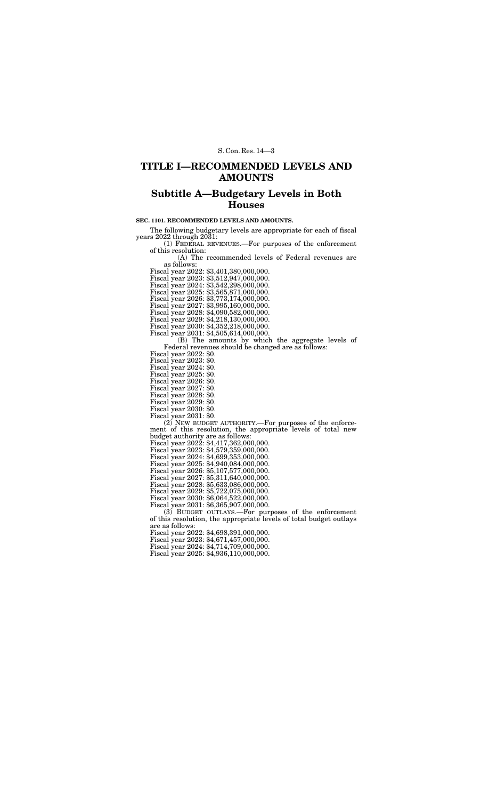# **TITLE I—RECOMMENDED LEVELS AND AMOUNTS**

# **Subtitle A—Budgetary Levels in Both Houses**

## **SEC. 1101. RECOMMENDED LEVELS AND AMOUNTS.**

The following budgetary levels are appropriate for each of fiscal years 2022 through 2031:

(1) FEDERAL REVENUES.—For purposes of the enforcement of this resolution:

(A) The recommended levels of Federal revenues are as follows:

(B) The amounts by which the aggregate levels of Federal revenues should be changed are as follows:

Fiscal year 2022: \$0.<br>Fiscal year 2023: \$0.

Fiscal year 2022: \$3,401,380,000,000.

Fiscal year 2023: \$3,512,947,000,000.

Fiscal year 2024: \$3,542,298,000,000.

Fiscal year 2025: \$3,565,871,000,000. Fiscal year 2026: \$3,773,174,000,000.

Fiscal year 2027: \$3,995,160,000,000.

Fiscal year 2028: \$4,090,582,000,000.

Fiscal year 2029: \$4,218,130,000,000.

Fiscal year 2030: \$4,352,218,000,000.

Fiscal year 2031: \$4,505,614,000,000.

Fiscal year 2024: \$0.

Fiscal year 2025: \$0.

Fiscal year 2026: \$0.

Fiscal year 2027: \$0.

Fiscal year 2028: \$0.

Fiscal year 2029: \$0.

Fiscal year 2030: \$0.

Fiscal year 2031: \$0.

(2) NEW BUDGET AUTHORITY.—For purposes of the enforcement of this resolution, the appropriate levels of total new budget authority are as follows:

Fiscal year 2022: \$4,417,362,000,000.

Fiscal year 2023: \$4,579,359,000,000.

Fiscal year 2024: \$4,699,353,000,000.

Fiscal year 2025: \$4,940,084,000,000. Fiscal year 2026: \$5,107,577,000,000.

Fiscal year 2027: \$5,311,640,000,000.

Fiscal year 2028: \$5,633,086,000,000.

Fiscal year 2029: \$5,722,075,000,000.

Fiscal year 2030: \$6,064,522,000,000.

Fiscal year 2031: \$6,365,907,000,000.

(3) BUDGET OUTLAYS.—For purposes of the enforcement of this resolution, the appropriate levels of total budget outlays are as follows:

Fiscal year 2022: \$4,698,391,000,000.

Fiscal year 2023: \$4,671,457,000,000.

Fiscal year 2024: \$4,714,709,000,000.

Fiscal year 2025: \$4,936,110,000,000.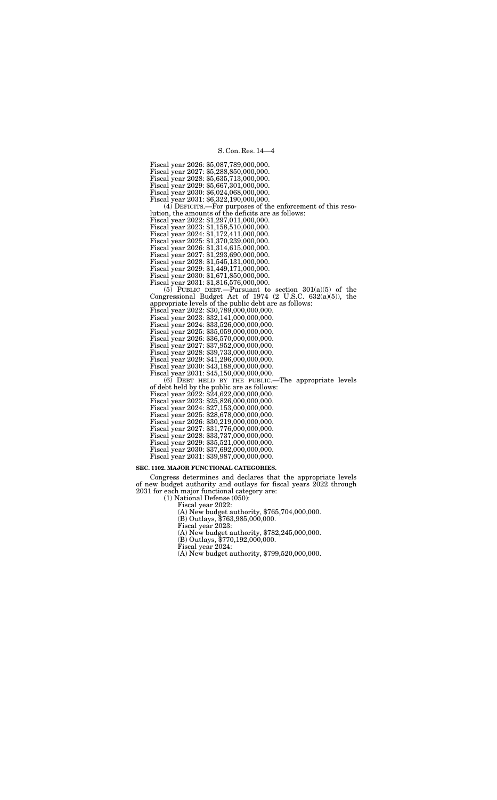Fiscal year 2026: \$5,087,789,000,000. Fiscal year 2027: \$5,288,850,000,000. Fiscal year 2028: \$5,635,713,000,000. Fiscal year 2029: \$5,667,301,000,000. Fiscal year 2030: \$6,024,068,000,000. Fiscal year 2031: \$6,322,190,000,000. (4) DEFICITS.—For purposes of the enforcement of this resolution, the amounts of the deficits are as follows: Fiscal year 2022: \$1,297,011,000,000. Fiscal year 2023: \$1,158,510,000,000. Fiscal year 2024: \$1,172,411,000,000. Fiscal year 2025: \$1,370,239,000,000. Fiscal year 2026: \$1,314,615,000,000. Fiscal year 2027: \$1,293,690,000,000. Fiscal year 2028: \$1,545,131,000,000. Fiscal year 2029: \$1,449,171,000,000. Fiscal year 2030: \$1,671,850,000,000. Fiscal year 2031: \$1,816,576,000,000.  $(5)$  PUBLIC DEBT.—Pursuant to section 301(a)(5) of the Congressional Budget Act of 1974 (2 U.S.C. 632(a)(5)), the appropriate levels of the public debt are as follows: Fiscal year 2022: \$30,789,000,000,000. Fiscal year 2023: \$32,141,000,000,000. Fiscal year 2024: \$33,526,000,000,000. Fiscal year 2025: \$35,059,000,000,000. Fiscal year 2026: \$36,570,000,000,000. Fiscal year 2027: \$37,952,000,000,000.

Fiscal year 2028: \$39,733,000,000,000. Fiscal year 2029: \$41,296,000,000,000.

Fiscal year 2030: \$43,188,000,000,000. Fiscal year 2031: \$45,150,000,000,000. (6) DEBT HELD BY THE PUBLIC.—The appropriate levels of debt held by the public are as follows: Fiscal year 2022: \$24,622,000,000,000. Fiscal year 2023: \$25,826,000,000,000. Fiscal year 2024: \$27,153,000,000,000. Fiscal year 2025: \$28,678,000,000,000. Fiscal year 2026: \$30,219,000,000,000. Fiscal year 2027: \$31,776,000,000,000. Fiscal year 2028: \$33,737,000,000,000. Fiscal year 2029: \$35,521,000,000,000. Fiscal year 2030: \$37,692,000,000,000. Fiscal year 2031: \$39,987,000,000,000.

# **SEC. 1102. MAJOR FUNCTIONAL CATEGORIES.**

Congress determines and declares that the appropriate levels of new budget authority and outlays for fiscal years 2022 through 2031 for each major functional category are:

(1) National Defense (050):

Fiscal year 2022:

(A) New budget authority, \$765,704,000,000.

(B) Outlays, \$763,985,000,000.

Fiscal year 2023:

(A) New budget authority, \$782,245,000,000.

(B) Outlays, \$770,192,000,000.

Fiscal year 2024:

(A) New budget authority, \$799,520,000,000.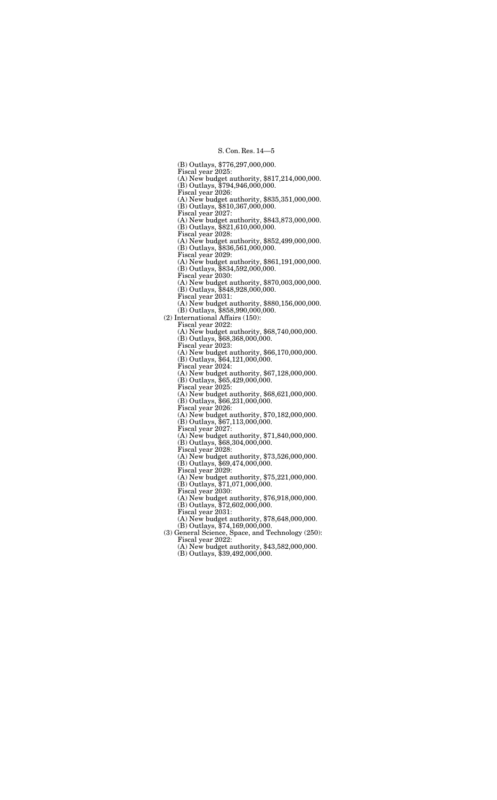(B) Outlays, \$776,297,000,000. Fiscal year 2025: (A) New budget authority, \$817,214,000,000. (B) Outlays, \$794,946,000,000. Fiscal year 2026: (A) New budget authority, \$835,351,000,000. (B) Outlays, \$810,367,000,000. Fiscal year 2027: (A) New budget authority, \$843,873,000,000. (B) Outlays, \$821,610,000,000. Fiscal year 2028: (A) New budget authority, \$852,499,000,000. (B) Outlays, \$836,561,000,000. Fiscal year 2029: (A) New budget authority, \$861,191,000,000. (B) Outlays, \$834,592,000,000. Fiscal year 2030: (A) New budget authority, \$870,003,000,000. (B) Outlays, \$848,928,000,000. Fiscal year 2031: (A) New budget authority, \$880,156,000,000. (B) Outlays, \$858,990,000,000. (2) International Affairs (150): Fiscal year 2022: (A) New budget authority, \$68,740,000,000. (B) Outlays, \$68,368,000,000. Fiscal year 2023: (A) New budget authority, \$66,170,000,000. (B) Outlays, \$64,121,000,000. Fiscal year 2024: (A) New budget authority, \$67,128,000,000. (B) Outlays, \$65,429,000,000. Fiscal year 2025: (A) New budget authority, \$68,621,000,000. (B) Outlays, \$66,231,000,000. Fiscal year 2026: (A) New budget authority, \$70,182,000,000. (B) Outlays, \$67,113,000,000. Fiscal year 2027: (A) New budget authority, \$71,840,000,000. (B) Outlays, \$68,304,000,000. Fiscal year 2028: (A) New budget authority, \$73,526,000,000. (B) Outlays, \$69,474,000,000. Fiscal year 2029: (A) New budget authority, \$75,221,000,000. (B) Outlays, \$71,071,000,000. Fiscal year 2030: (A) New budget authority, \$76,918,000,000. (B) Outlays, \$72,602,000,000. Fiscal year 2031: (A) New budget authority, \$78,648,000,000. (B) Outlays, \$74,169,000,000. (3) General Science, Space, and Technology (250): Fiscal year 2022: (A) New budget authority, \$43,582,000,000.

(B) Outlays, \$39,492,000,000.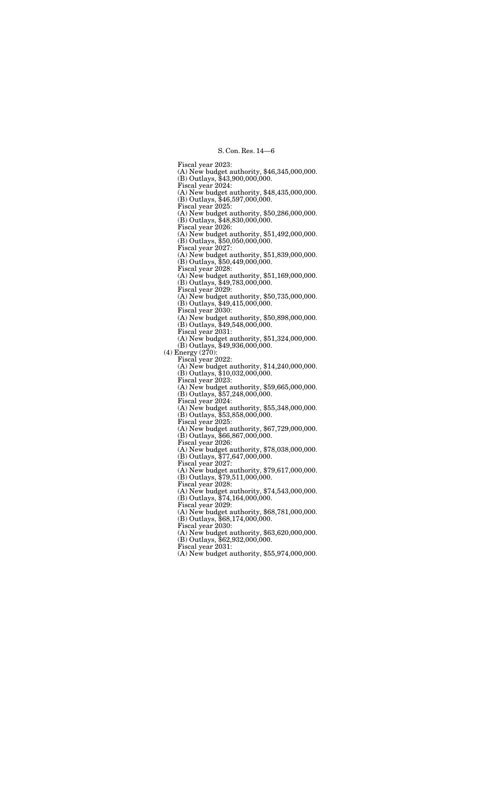Fiscal year 2023: (A) New budget authority, \$46,345,000,000. (B) Outlays, \$43,900,000,000. Fiscal year 2024: (A) New budget authority, \$48,435,000,000. (B) Outlays, \$46,597,000,000. Fiscal year 2025: (A) New budget authority, \$50,286,000,000. (B) Outlays, \$48,830,000,000. Fiscal year 2026: (A) New budget authority, \$51,492,000,000. (B) Outlays, \$50,050,000,000. Fiscal year 2027: (A) New budget authority, \$51,839,000,000. (B) Outlays, \$50,449,000,000. Fiscal year 2028: (A) New budget authority, \$51,169,000,000. (B) Outlays, \$49,783,000,000. Fiscal year 2029: (A) New budget authority, \$50,735,000,000. (B) Outlays, \$49,415,000,000. Fiscal year 2030: (A) New budget authority, \$50,898,000,000. (B) Outlays, \$49,548,000,000. Fiscal year 2031: (A) New budget authority, \$51,324,000,000. (B) Outlays, \$49,936,000,000. (4) Energy (270): Fiscal year 2022: (A) New budget authority, \$14,240,000,000. (B) Outlays, \$10,032,000,000. Fiscal year 2023: (A) New budget authority, \$59,665,000,000. (B) Outlays, \$57,248,000,000. Fiscal year 2024: (A) New budget authority, \$55,348,000,000. (B) Outlays, \$53,858,000,000. Fiscal year 2025: (A) New budget authority, \$67,729,000,000. (B) Outlays, \$66,867,000,000. Fiscal year 2026: (A) New budget authority, \$78,038,000,000. (B) Outlays, \$77,647,000,000. Fiscal year 2027: (A) New budget authority, \$79,617,000,000. (B) Outlays, \$79,511,000,000. Fiscal year 2028: (A) New budget authority, \$74,543,000,000. (B) Outlays, \$74,164,000,000. Fiscal year 2029: (A) New budget authority, \$68,781,000,000. (B) Outlays, \$68,174,000,000. Fiscal year 2030: (A) New budget authority, \$63,620,000,000. (B) Outlays, \$62,932,000,000. Fiscal year 2031: (A) New budget authority, \$55,974,000,000.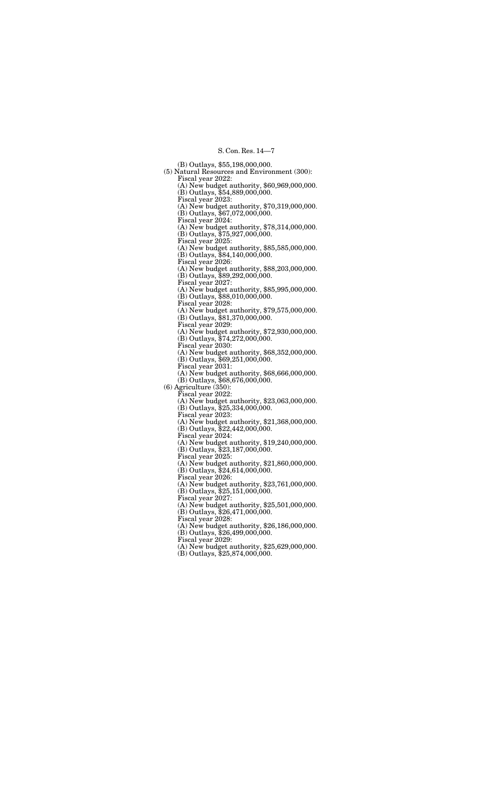(B) Outlays, \$55,198,000,000. (5) Natural Resources and Environment (300): Fiscal year 2022: (A) New budget authority, \$60,969,000,000. (B) Outlays, \$54,889,000,000. Fiscal year 2023: (A) New budget authority, \$70,319,000,000. (B) Outlays, \$67,072,000,000. Fiscal year 2024: (A) New budget authority, \$78,314,000,000. (B) Outlays, \$75,927,000,000. Fiscal year 2025: (A) New budget authority, \$85,585,000,000. (B) Outlays, \$84,140,000,000. Fiscal year 2026: (A) New budget authority, \$88,203,000,000. (B) Outlays, \$89,292,000,000. Fiscal year 2027: (A) New budget authority, \$85,995,000,000. (B) Outlays, \$88,010,000,000. Fiscal year 2028: (A) New budget authority, \$79,575,000,000. (B) Outlays, \$81,370,000,000. Fiscal year 2029: (A) New budget authority, \$72,930,000,000. (B) Outlays, \$74,272,000,000. Fiscal year 2030: (A) New budget authority, \$68,352,000,000. (B) Outlays, \$69,251,000,000. Fiscal year 2031: (A) New budget authority, \$68,666,000,000. (B) Outlays, \$68,676,000,000. (6) Agriculture (350): Fiscal year 2022: (A) New budget authority, \$23,063,000,000. (B) Outlays, \$25,334,000,000. Fiscal year 2023: (A) New budget authority, \$21,368,000,000. (B) Outlays, \$22,442,000,000. Fiscal year 2024: (A) New budget authority, \$19,240,000,000. (B) Outlays, \$23,187,000,000. Fiscal year 2025: (A) New budget authority, \$21,860,000,000. (B) Outlays, \$24,614,000,000. Fiscal year 2026: (A) New budget authority, \$23,761,000,000. (B) Outlays, \$25,151,000,000. Fiscal year 2027: (A) New budget authority, \$25,501,000,000. (B) Outlays, \$26,471,000,000. Fiscal year 2028: (A) New budget authority, \$26,186,000,000. (B) Outlays, \$26,499,000,000. Fiscal year 2029: (A) New budget authority, \$25,629,000,000.

(B) Outlays, \$25,874,000,000.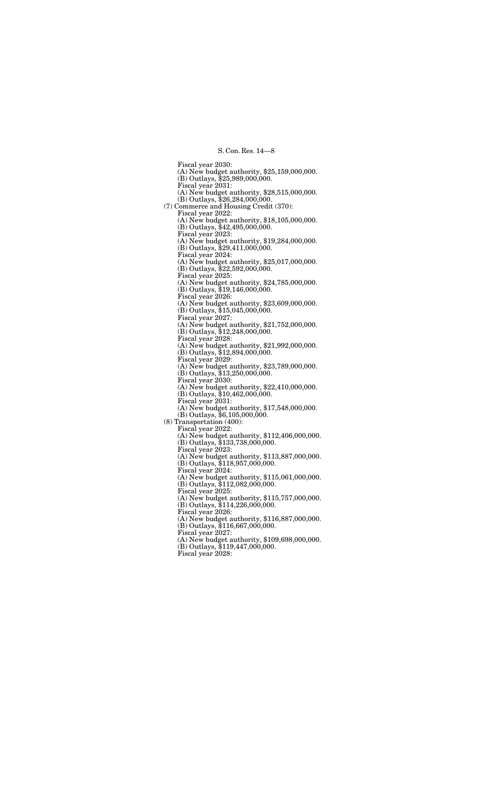Fiscal year 2030: (A) New budget authority, \$25,159,000,000. (B) Outlays, \$25,989,000,000. Fiscal year 2031: (A) New budget authority, \$28,515,000,000. (B) Outlays, \$26,284,000,000. (7) Commerce and Housing Credit (370): Fiscal year 2022: (A) New budget authority, \$18,105,000,000. (B) Outlays, \$42,495,000,000. Fiscal year 2023: (A) New budget authority, \$19,284,000,000. (B) Outlays, \$29,411,000,000. Fiscal year 2024: (A) New budget authority, \$25,017,000,000. (B) Outlays, \$22,592,000,000. Fiscal year 2025: (A) New budget authority, \$24,785,000,000. (B) Outlays, \$19,146,000,000. Fiscal year 2026: (A) New budget authority, \$23,609,000,000. (B) Outlays, \$15,045,000,000. Fiscal year 2027: (A) New budget authority, \$21,752,000,000. (B) Outlays, \$12,248,000,000. Fiscal year 2028: (A) New budget authority, \$21,992,000,000. (B) Outlays, \$12,894,000,000. Fiscal year 2029: (A) New budget authority, \$23,789,000,000. (B) Outlays, \$13,250,000,000. Fiscal year 2030: (A) New budget authority, \$22,410,000,000. (B) Outlays, \$10,462,000,000. Fiscal year 2031: (A) New budget authority, \$17,548,000,000. (B) Outlays, \$6,105,000,000. (8) Transportation (400): Fiscal year 2022: (A) New budget authority, \$112,406,000,000. (B) Outlays, \$133,738,000,000. Fiscal year 2023: (A) New budget authority, \$113,887,000,000. (B) Outlays, \$118,957,000,000. Fiscal year 2024: (A) New budget authority, \$115,061,000,000. (B) Outlays, \$112,082,000,000. Fiscal year 2025: (A) New budget authority, \$115,757,000,000. (B) Outlays, \$114,226,000,000. Fiscal year 2026: (A) New budget authority, \$116,887,000,000. (B) Outlays, \$116,667,000,000. Fiscal year 2027: (A) New budget authority, \$109,698,000,000. (B) Outlays, \$119,447,000,000. Fiscal year 2028: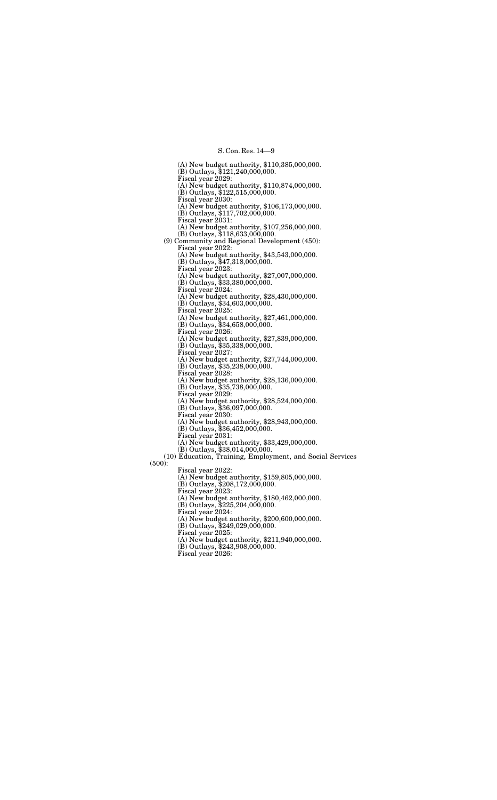(A) New budget authority, \$110,385,000,000. (B) Outlays, \$121,240,000,000. Fiscal year 2029: (A) New budget authority, \$110,874,000,000. (B) Outlays, \$122,515,000,000. Fiscal year 2030: (A) New budget authority, \$106,173,000,000. (B) Outlays, \$117,702,000,000. Fiscal year 2031: (A) New budget authority, \$107,256,000,000. (B) Outlays, \$118,633,000,000. (9) Community and Regional Development (450): Fiscal year 2022: (A) New budget authority, \$43,543,000,000. (B) Outlays, \$47,318,000,000. Fiscal year 2023: (A) New budget authority, \$27,007,000,000. (B) Outlays, \$33,380,000,000. Fiscal year 2024: (A) New budget authority, \$28,430,000,000. (B) Outlays, \$34,603,000,000. Fiscal year 2025: (A) New budget authority, \$27,461,000,000. (B) Outlays, \$34,658,000,000. Fiscal year 2026: (A) New budget authority, \$27,839,000,000. (B) Outlays, \$35,338,000,000. Fiscal year 2027: (A) New budget authority, \$27,744,000,000. (B) Outlays, \$35,238,000,000. Fiscal year 2028: (A) New budget authority, \$28,136,000,000. (B) Outlays, \$35,738,000,000. Fiscal year 2029: (A) New budget authority, \$28,524,000,000. (B) Outlays, \$36,097,000,000. Fiscal year 2030: (A) New budget authority, \$28,943,000,000. (B) Outlays, \$36,452,000,000. Fiscal year 2031: (A) New budget authority, \$33,429,000,000. (B) Outlays, \$38,014,000,000. (10) Education, Training, Employment, and Social Services (500): Fiscal year 2022: (A) New budget authority, \$159,805,000,000. (B) Outlays, \$208,172,000,000. Fiscal year 2023: (A) New budget authority, \$180,462,000,000. (B) Outlays, \$225,204,000,000. Fiscal year 2024: (A) New budget authority, \$200,600,000,000. (B) Outlays, \$249,029,000,000.

Fiscal year 2025:

(A) New budget authority, \$211,940,000,000.

(B) Outlays, \$243,908,000,000.

Fiscal year 2026: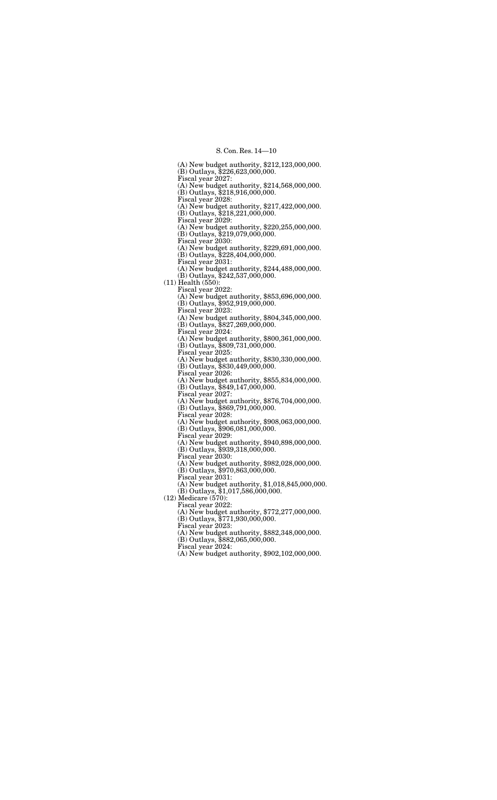(A) New budget authority, \$212,123,000,000. (B) Outlays, \$226,623,000,000. Fiscal year 2027: (A) New budget authority, \$214,568,000,000. (B) Outlays, \$218,916,000,000. Fiscal year 2028: (A) New budget authority, \$217,422,000,000. (B) Outlays, \$218,221,000,000. Fiscal year 2029: (A) New budget authority, \$220,255,000,000. (B) Outlays, \$219,079,000,000. Fiscal year 2030: (A) New budget authority, \$229,691,000,000. (B) Outlays, \$228,404,000,000. Fiscal year 2031: (A) New budget authority, \$244,488,000,000. (B) Outlays, \$242,537,000,000. (11) Health (550): Fiscal year 2022: (A) New budget authority, \$853,696,000,000. (B) Outlays, \$952,919,000,000. Fiscal year 2023: (A) New budget authority, \$804,345,000,000. (B) Outlays, \$827,269,000,000. Fiscal year 2024: (A) New budget authority, \$800,361,000,000. (B) Outlays, \$809,731,000,000. Fiscal year 2025: (A) New budget authority, \$830,330,000,000. (B) Outlays, \$830,449,000,000. Fiscal year 2026: (A) New budget authority, \$855,834,000,000. (B) Outlays, \$849,147,000,000. Fiscal year 2027: (A) New budget authority, \$876,704,000,000. (B) Outlays, \$869,791,000,000. Fiscal year 2028: (A) New budget authority, \$908,063,000,000. (B) Outlays, \$906,081,000,000. Fiscal year 2029: (A) New budget authority, \$940,898,000,000. (B) Outlays, \$939,318,000,000. Fiscal year 2030: (A) New budget authority, \$982,028,000,000. (B) Outlays, \$970,863,000,000. Fiscal year 2031: (A) New budget authority, \$1,018,845,000,000. (B) Outlays, \$1,017,586,000,000. (12) Medicare (570): Fiscal year 2022: (A) New budget authority, \$772,277,000,000. (B) Outlays, \$771,930,000,000. Fiscal year 2023: (A) New budget authority, \$882,348,000,000. (B) Outlays, \$882,065,000,000.

Fiscal year 2024:

(A) New budget authority, \$902,102,000,000.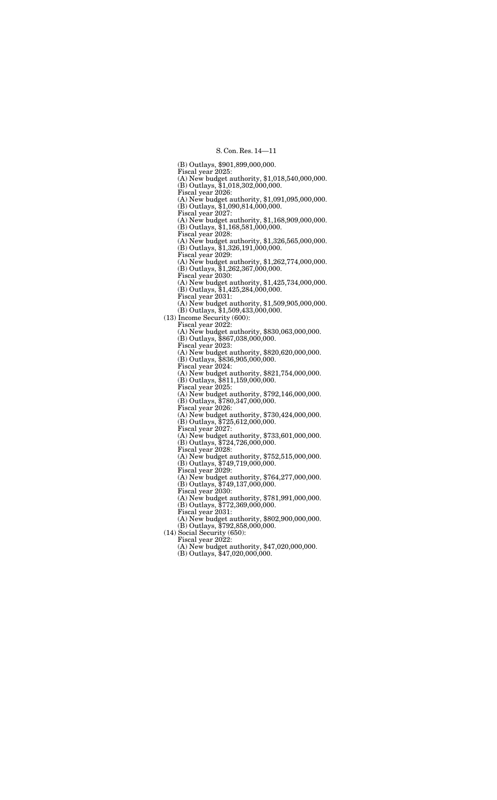(B) Outlays, \$901,899,000,000. Fiscal year 2025: (A) New budget authority, \$1,018,540,000,000. (B) Outlays, \$1,018,302,000,000. Fiscal year 2026: (A) New budget authority, \$1,091,095,000,000. (B) Outlays, \$1,090,814,000,000. Fiscal year 2027: (A) New budget authority, \$1,168,909,000,000. (B) Outlays, \$1,168,581,000,000. Fiscal year 2028: (A) New budget authority, \$1,326,565,000,000. (B) Outlays, \$1,326,191,000,000. Fiscal year 2029: (A) New budget authority, \$1,262,774,000,000. (B) Outlays, \$1,262,367,000,000. Fiscal year 2030: (A) New budget authority, \$1,425,734,000,000. (B) Outlays, \$1,425,284,000,000. Fiscal year 2031: (A) New budget authority, \$1,509,905,000,000. (B) Outlays, \$1,509,433,000,000. (13) Income Security (600): Fiscal year 2022: (A) New budget authority, \$830,063,000,000. (B) Outlays, \$867,038,000,000. Fiscal year 2023: (A) New budget authority, \$820,620,000,000. (B) Outlays, \$836,905,000,000. Fiscal year 2024: (A) New budget authority, \$821,754,000,000. (B) Outlays, \$811,159,000,000. Fiscal year 2025: (A) New budget authority, \$792,146,000,000. (B) Outlays, \$780,347,000,000. Fiscal year 2026: (A) New budget authority, \$730,424,000,000. (B) Outlays, \$725,612,000,000. Fiscal year 2027: (A) New budget authority, \$733,601,000,000. (B) Outlays, \$724,726,000,000. Fiscal year 2028: (A) New budget authority, \$752,515,000,000. (B) Outlays, \$749,719,000,000. Fiscal year 2029: (A) New budget authority, \$764,277,000,000. (B) Outlays, \$749,137,000,000. Fiscal year 2030: (A) New budget authority, \$781,991,000,000. (B) Outlays, \$772,369,000,000. Fiscal year 2031: (A) New budget authority, \$802,900,000,000. (B) Outlays, \$792,858,000,000. (14) Social Security (650): Fiscal year 2022: (A) New budget authority, \$47,020,000,000.

(B) Outlays, \$47,020,000,000.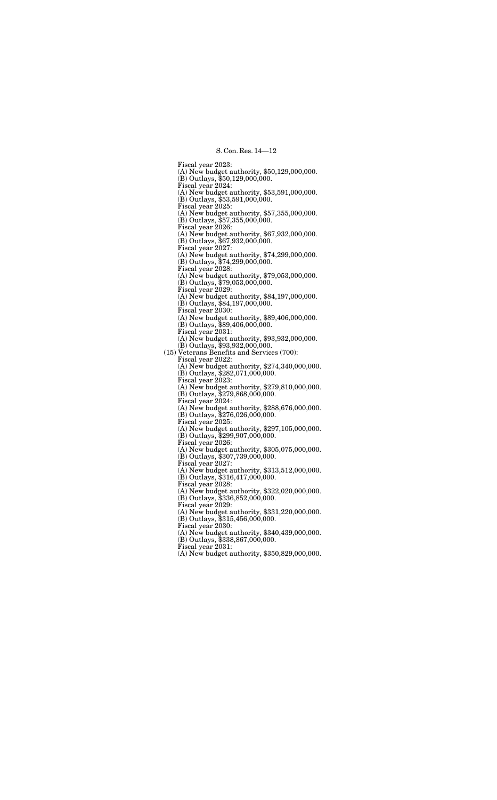Fiscal year 2023: (A) New budget authority, \$50,129,000,000. (B) Outlays, \$50,129,000,000. Fiscal year 2024: (A) New budget authority, \$53,591,000,000. (B) Outlays, \$53,591,000,000. Fiscal year 2025: (A) New budget authority, \$57,355,000,000. (B) Outlays, \$57,355,000,000. Fiscal year 2026: (A) New budget authority, \$67,932,000,000. (B) Outlays, \$67,932,000,000. Fiscal year 2027: (A) New budget authority, \$74,299,000,000. (B) Outlays, \$74,299,000,000. Fiscal year 2028: (A) New budget authority, \$79,053,000,000. (B) Outlays, \$79,053,000,000. Fiscal year 2029: (A) New budget authority, \$84,197,000,000. (B) Outlays, \$84,197,000,000. Fiscal year 2030: (A) New budget authority, \$89,406,000,000. (B) Outlays, \$89,406,000,000. Fiscal year 2031: (A) New budget authority, \$93,932,000,000. (B) Outlays, \$93,932,000,000. (15) Veterans Benefits and Services (700): Fiscal year 2022: (A) New budget authority, \$274,340,000,000. (B) Outlays, \$282,071,000,000. Fiscal year 2023: (A) New budget authority, \$279,810,000,000. (B) Outlays, \$279,868,000,000. Fiscal year 2024: (A) New budget authority, \$288,676,000,000. (B) Outlays, \$276,026,000,000. Fiscal year 2025: (A) New budget authority, \$297,105,000,000. (B) Outlays, \$299,907,000,000. Fiscal year 2026: (A) New budget authority, \$305,075,000,000. (B) Outlays, \$307,739,000,000. Fiscal year 2027: (A) New budget authority, \$313,512,000,000. (B) Outlays, \$316,417,000,000. Fiscal year 2028: (A) New budget authority, \$322,020,000,000. (B) Outlays, \$336,852,000,000. Fiscal year 2029: (A) New budget authority, \$331,220,000,000. (B) Outlays, \$315,456,000,000. Fiscal year 2030: (A) New budget authority, \$340,439,000,000. (B) Outlays, \$338,867,000,000. Fiscal year 2031: (A) New budget authority, \$350,829,000,000.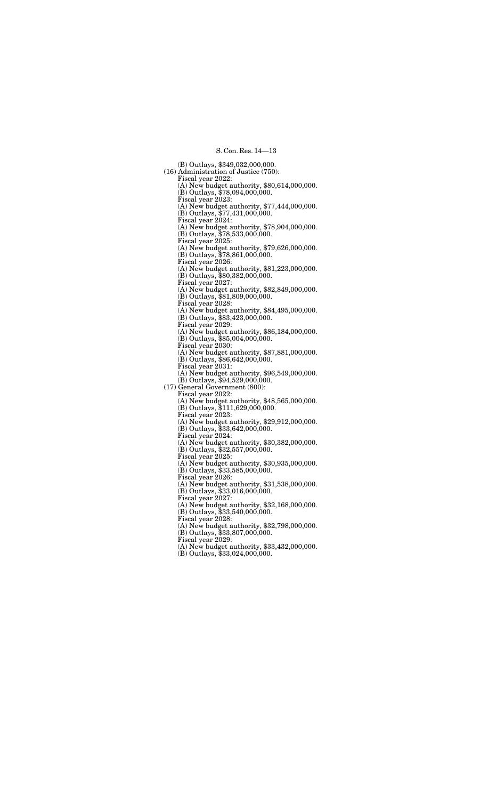(B) Outlays, \$349,032,000,000. (16) Administration of Justice (750): Fiscal year 2022: (A) New budget authority, \$80,614,000,000. (B) Outlays, \$78,094,000,000. Fiscal year 2023: (A) New budget authority, \$77,444,000,000. (B) Outlays, \$77,431,000,000. Fiscal year 2024: (A) New budget authority, \$78,904,000,000. (B) Outlays, \$78,533,000,000. Fiscal year 2025: (A) New budget authority, \$79,626,000,000. (B) Outlays, \$78,861,000,000. Fiscal year 2026: (A) New budget authority, \$81,223,000,000. (B) Outlays, \$80,382,000,000. Fiscal year 2027: (A) New budget authority, \$82,849,000,000. (B) Outlays, \$81,809,000,000. Fiscal year 2028: (A) New budget authority, \$84,495,000,000. (B) Outlays, \$83,423,000,000. Fiscal year 2029: (A) New budget authority, \$86,184,000,000. (B) Outlays, \$85,004,000,000. Fiscal year 2030: (A) New budget authority, \$87,881,000,000. (B) Outlays, \$86,642,000,000. Fiscal year 2031: (A) New budget authority, \$96,549,000,000. (B) Outlays, \$94,529,000,000. (17) General Government (800): Fiscal year 2022: (A) New budget authority, \$48,565,000,000. (B) Outlays, \$111,629,000,000. Fiscal year 2023: (A) New budget authority, \$29,912,000,000. (B) Outlays, \$33,642,000,000. Fiscal year 2024: (A) New budget authority, \$30,382,000,000. (B) Outlays, \$32,557,000,000. Fiscal year 2025: (A) New budget authority, \$30,935,000,000. (B) Outlays, \$33,585,000,000. Fiscal year 2026: (A) New budget authority, \$31,538,000,000. (B) Outlays, \$33,016,000,000. Fiscal year 2027: (A) New budget authority, \$32,168,000,000. (B) Outlays, \$33,540,000,000. Fiscal year 2028: (A) New budget authority, \$32,798,000,000. (B) Outlays, \$33,807,000,000. Fiscal year 2029: (A) New budget authority, \$33,432,000,000.

(B) Outlays, \$33,024,000,000.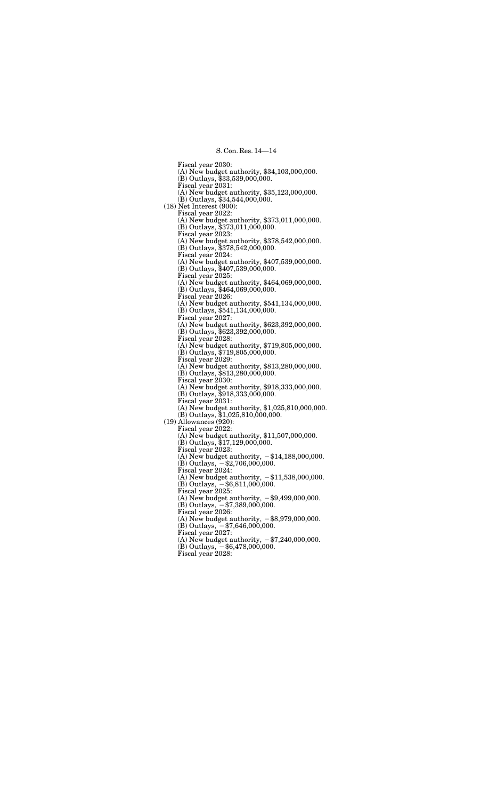Fiscal year 2030: (A) New budget authority, \$34,103,000,000. (B) Outlays, \$33,539,000,000. Fiscal year 2031: (A) New budget authority, \$35,123,000,000. (B) Outlays, \$34,544,000,000. (18) Net Interest (900): Fiscal year 2022: (A) New budget authority, \$373,011,000,000. (B) Outlays, \$373,011,000,000. Fiscal year 2023: (A) New budget authority, \$378,542,000,000. (B) Outlays, \$378,542,000,000. Fiscal year 2024: (A) New budget authority, \$407,539,000,000. (B) Outlays, \$407,539,000,000. Fiscal year 2025: (A) New budget authority, \$464,069,000,000. (B) Outlays, \$464,069,000,000. Fiscal year 2026: (A) New budget authority, \$541,134,000,000. (B) Outlays, \$541,134,000,000. Fiscal year 2027: (A) New budget authority, \$623,392,000,000. (B) Outlays, \$623,392,000,000. Fiscal year 2028: (A) New budget authority, \$719,805,000,000. (B) Outlays, \$719,805,000,000. Fiscal year 2029: (A) New budget authority, \$813,280,000,000. (B) Outlays, \$813,280,000,000. Fiscal year 2030: (A) New budget authority, \$918,333,000,000. (B) Outlays, \$918,333,000,000. Fiscal year 2031: (A) New budget authority, \$1,025,810,000,000. (B) Outlays, \$1,025,810,000,000. (19) Allowances (920): Fiscal year 2022: (A) New budget authority, \$11,507,000,000. (B) Outlays, \$17,129,000,000. Fiscal year 2023: (A) New budget authority,  $-\$14,188,000,000$ .  $(B)$  Outlays,  $-$ \$2,706,000,000. Fiscal year 2024: (A) New budget authority,  $-\$11,538,000,000$ .  $(B)$  Outlays,  $-$ \$6,811,000,000. Fiscal year 2025: (A) New budget authority,  $-$ \$9,499,000,000.  $(B)$  Outlays,  $-$  \$7,389,000,000. Fiscal year 2026: (A) New budget authority,  $-$ \$8,979,000,000.  $(B)$  Outlays,  $-$  \$7,646,000,000. Fiscal year 2027: (A) New budget authority,  $-\frac{240,000,000}{500,000}$ .  $(B)$  Outlays,  $-$ \$6,478,000,000. Fiscal year 2028: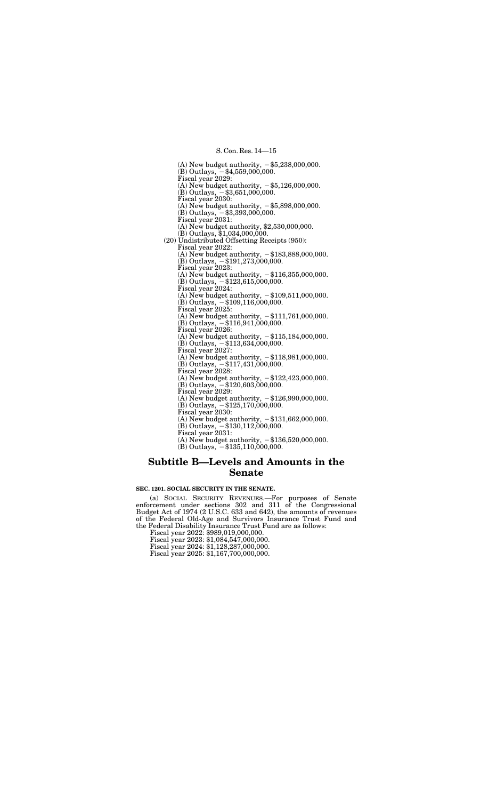(A) New budget authority,  $-$ \$5,238,000,000.  $(B)$  Outlays,  $-$ \$4,559,000,000. Fiscal year 2029: (A) New budget authority,  $-$ \$5,126,000,000.  $(B)$  Outlays,  $-$ \$3,651,000,000. Fiscal year 2030: (A) New budget authority,  $-$ \$5,898,000,000.  $(B)$  Outlays,  $-$ \$3,393,000,000. Fiscal year 2031: (A) New budget authority, \$2,530,000,000. (B) Outlays, \$1,034,000,000. (20) Undistributed Offsetting Receipts (950): Fiscal year 2022: (A) New budget authority,  $-\$183,888,000,000$ .  $(B)$  Outlays,  $-$ \$191,273,000,000. Fiscal year 2023: (A) New budget authority,  $-\$116,355,000,000$ .  $(B)$  Outlays,  $-$ \$123,615,000,000. Fiscal year 2024: (A) New budget authority,  $-\$109,511,000,000$ .  $(B)$  Outlays,  $-$  \$109,116,000,000. Fiscal year 2025: (A) New budget authority,  $-\$111,761,000,000$ .  $(B)$  Outlays,  $-$  \$116,941,000,000. Fiscal year 2026: (A) New budget authority,  $-\$115,184,000,000$ .  $(B)$  Outlays,  $-$ \$113,634,000,000. Fiscal year 2027: (A) New budget authority,  $-\$118,981,000,000$ .  $(B)$  Outlays,  $-$ \$117,431,000,000. Fiscal year 2028: (A) New budget authority,  $-\$122,423,000,000$ .  $(B)$  Outlays,  $-$ \$120,603,000,000. Fiscal year 2029: (A) New budget authority,  $-126,990,000,000$ .  $(B)$  Outlays,  $-$  \$125,170,000,000. Fiscal year 2030: (A) New budget authority,  $-131,662,000,000$ .  $(B)$  Outlays,  $-$ \$130,112,000,000. Fiscal year 2031: (A) New budget authority,  $-136,520,000,000$ .  $(B)$  Outlays,  $-$ \$135,110,000,000.

# **Subtitle B—Levels and Amounts in the Senate**

#### **SEC. 1201. SOCIAL SECURITY IN THE SENATE.**

(a) SOCIAL SECURITY REVENUES.—For purposes of Senate enforcement under sections 302 and 311 of the Congressional Budget Act of 1974 (2 U.S.C. 633 and 642), the amounts of revenues of the Federal Old-Age and Survivors Insurance Trust Fund and the Federal Disability Insurance Trust Fund are as follows:

Fiscal year 2022: \$989,019,000,000.

Fiscal year 2023: \$1,084,547,000,000.

Fiscal year 2024: \$1,128,287,000,000.

Fiscal year 2025: \$1,167,700,000,000.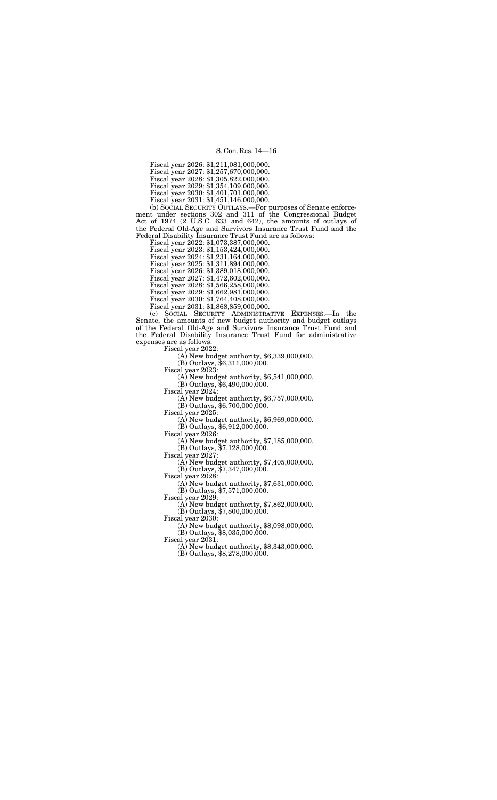Fiscal year 2026: \$1,211,081,000,000.

Fiscal year 2027: \$1,257,670,000,000.

Fiscal year 2028: \$1,305,822,000,000.

Fiscal year 2029: \$1,354,109,000,000.

Fiscal year 2030: \$1,401,701,000,000.

Fiscal year 2031: \$1,451,146,000,000.

(b) SOCIAL SECURITY OUTLAYS.—For purposes of Senate enforcement under sections 302 and 311 of the Congressional Budget Act of 1974 (2 U.S.C. 633 and 642), the amounts of outlays of the Federal Old-Age and Survivors Insurance Trust Fund and the Federal Disability Insurance Trust Fund are as follows:

Fiscal year 2022: \$1,073,387,000,000. Fiscal year 2023: \$1,153,424,000,000. Fiscal year 2024: \$1,231,164,000,000. Fiscal year 2025: \$1,311,894,000,000. Fiscal year 2026: \$1,389,018,000,000. Fiscal year 2027: \$1,472,602,000,000. Fiscal year 2028: \$1,566,258,000,000. Fiscal year 2029: \$1,662,981,000,000. Fiscal year 2030: \$1,764,408,000,000. Fiscal year 2031: \$1,868,859,000,000.

(c) SOCIAL SECURITY ADMINISTRATIVE EXPENSES.—In the Senate, the amounts of new budget authority and budget outlays of the Federal Old-Age and Survivors Insurance Trust Fund and the Federal Disability Insurance Trust Fund for administrative expenses are as follows:

Fiscal year 2022:

(A) New budget authority, \$6,339,000,000.

(B) Outlays, \$6,311,000,000.

Fiscal year 2023:

(A) New budget authority, \$6,541,000,000.

(B) Outlays, \$6,490,000,000.

Fiscal year 2024:

(A) New budget authority, \$6,757,000,000.

(B) Outlays, \$6,700,000,000.

Fiscal year 2025:

(A) New budget authority, \$6,969,000,000.

(B) Outlays, \$6,912,000,000.

Fiscal year 2026:

(A) New budget authority, \$7,185,000,000.

 $(B)$  Outlays,  $$7,128,000,000$ .

Fiscal year 2027:

(A) New budget authority, \$7,405,000,000.

(B) Outlays, \$7,347,000,000.

Fiscal year 2028:

(A) New budget authority, \$7,631,000,000.

(B) Outlays, \$7,571,000,000.

Fiscal year 2029:

(A) New budget authority, \$7,862,000,000.

(B) Outlays, \$7,800,000,000.

Fiscal year 2030:

(A) New budget authority, \$8,098,000,000.

(B) Outlays, \$8,035,000,000.

Fiscal year  $2031$ :

(A) New budget authority, \$8,343,000,000.

 $(B)$  Outlays,  $$8,278,000,000$ .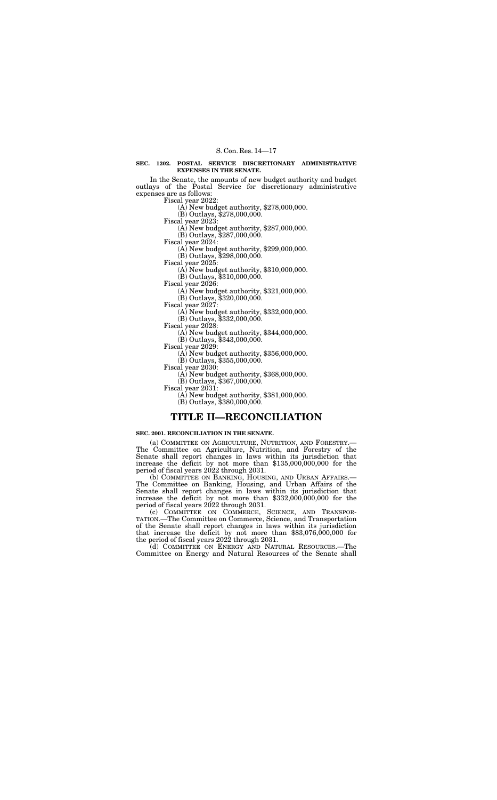# **SEC. 1202. POSTAL SERVICE DISCRETIONARY ADMINISTRATIVE EXPENSES IN THE SENATE.**

In the Senate, the amounts of new budget authority and budget outlays of the Postal Service for discretionary administrative expenses are as follows:

 $F(A)$  New budget authority, \$278,000,000.

(B) Outlays, \$278,000,000.

Fiscal year 2023: (A) New budget authority, \$287,000,000.

(B) Outlays, \$287,000,000.

Fiscal year 2024:

(A) New budget authority, \$299,000,000.

(B) Outlays, \$298,000,000.

Fiscal year 2025:

(A) New budget authority, \$310,000,000.

(B) Outlays, \$310,000,000.

Fiscal year 2026:

(A) New budget authority, \$321,000,000.

(B) Outlays, \$320,000,000.

Fiscal year 2027:

(A) New budget authority, \$332,000,000.

(B) Outlays, \$332,000,000. Fiscal year 2028:

(A) New budget authority, \$344,000,000.

(B) Outlays, \$343,000,000.

Fiscal year 2029:

(A) New budget authority, \$356,000,000.

(B) Outlays, \$355,000,000.

Fiscal year 2030:

(A) New budget authority, \$368,000,000.

(B) Outlays, \$367,000,000.

Fiscal year 2031:

(A) New budget authority, \$381,000,000.

(B) Outlays, \$380,000,000.

# **TITLE II—RECONCILIATION**

# **SEC. 2001. RECONCILIATION IN THE SENATE.**

(a) COMMITTEE ON AGRICULTURE, NUTRITION, AND FORESTRY.— The Committee on Agriculture, Nutrition, and Forestry of the Senate shall report changes in laws within its jurisdiction that increase the deficit by not more than \$135,000,000,000 for the period of fiscal years 2022 through 2031.

(b) COMMITTEE ON BANKING, HOUSING, AND URBAN AFFAIRS.— The Committee on Banking, Housing, and Urban Affairs of the Senate shall report changes in laws within its jurisdiction that increase the deficit by not more than \$332,000,000,000 for the period of fiscal years 2022 through 2031.

(c) COMMITTEE ON COMMERCE, SCIENCE, AND TRANSPOR-TATION.—The Committee on Commerce, Science, and Transportation of the Senate shall report changes in laws within its jurisdiction that increase the deficit by not more than \$83,076,000,000 for the period of fiscal years 2022 through 2031.

(d) COMMITTEE ON ENERGY AND NATURAL RESOURCES.—The Committee on Energy and Natural Resources of the Senate shall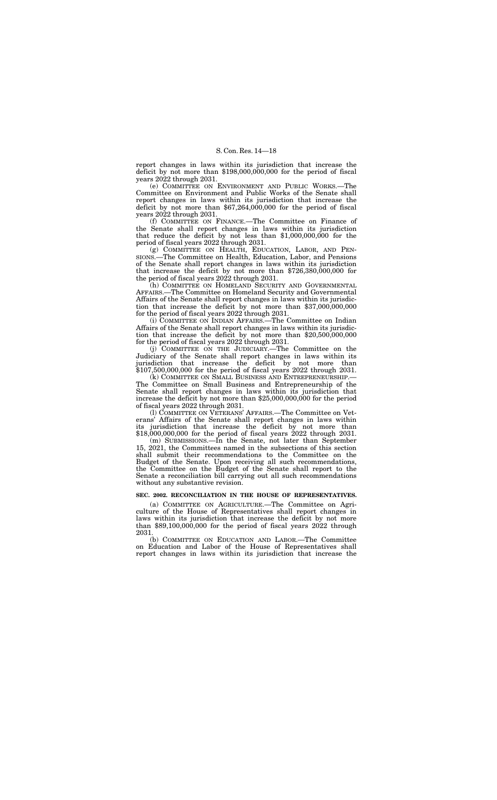report changes in laws within its jurisdiction that increase the deficit by not more than \$198,000,000,000 for the period of fiscal years 2022 through 2031.

(e) COMMITTEE ON ENVIRONMENT AND PUBLIC WORKS.—The Committee on Environment and Public Works of the Senate shall report changes in laws within its jurisdiction that increase the deficit by not more than \$67,264,000,000 for the period of fiscal years 2022 through 2031.

(f) COMMITTEE ON FINANCE.—The Committee on Finance of the Senate shall report changes in laws within its jurisdiction that reduce the deficit by not less than \$1,000,000,000 for the period of fiscal years 2022 through 2031.

(g) COMMITTEE ON HEALTH, EDUCATION, LABOR, AND PEN-SIONS.—The Committee on Health, Education, Labor, and Pensions of the Senate shall report changes in laws within its jurisdiction that increase the deficit by not more than  $$726,380,000,000$  for the period of fiscal years 2022 through 2031.

(h) COMMITTEE ON HOMELAND SECURITY AND GOVERNMENTAL AFFAIRS.—The Committee on Homeland Security and Governmental Affairs of the Senate shall report changes in laws within its jurisdiction that increase the deficit by not more than \$37,000,000,000 for the period of fiscal years 2022 through 2031.

(i) COMMITTEE ON INDIAN AFFAIRS.—The Committee on Indian Affairs of the Senate shall report changes in laws within its jurisdiction that increase the deficit by not more than \$20,500,000,000 for the period of fiscal years 2022 through 2031.

(j) COMMITTEE ON THE JUDICIARY.—The Committee on the Judiciary of the Senate shall report changes in laws within its jurisdiction that increase the deficit by not more than \$107,500,000,000 for the period of fiscal years 2022 through 2031.

(k) COMMITTEE ON SMALL BUSINESS AND ENTREPRENEURSHIP.— The Committee on Small Business and Entrepreneurship of the Senate shall report changes in laws within its jurisdiction that increase the deficit by not more than \$25,000,000,000 for the period of fiscal years 2022 through 2031.

(l) COMMITTEE ON VETERANS' AFFAIRS.—The Committee on Veterans' Affairs of the Senate shall report changes in laws within its jurisdiction that increase the deficit by not more than \$18,000,000,000 for the period of fiscal years 2022 through 2031.

(m) SUBMISSIONS.—In the Senate, not later than September 15, 2021, the Committees named in the subsections of this section shall submit their recommendations to the Committee on the Budget of the Senate. Upon receiving all such recommendations, the Committee on the Budget of the Senate shall report to the Senate a reconciliation bill carrying out all such recommendations without any substantive revision.

#### **SEC. 2002. RECONCILIATION IN THE HOUSE OF REPRESENTATIVES.**

(a) COMMITTEE ON AGRICULTURE.—The Committee on Agriculture of the House of Representatives shall report changes in laws within its jurisdiction that increase the deficit by not more than \$89,100,000,000 for the period of fiscal years 2022 through 2031.

(b) COMMITTEE ON EDUCATION AND LABOR.—The Committee on Education and Labor of the House of Representatives shall report changes in laws within its jurisdiction that increase the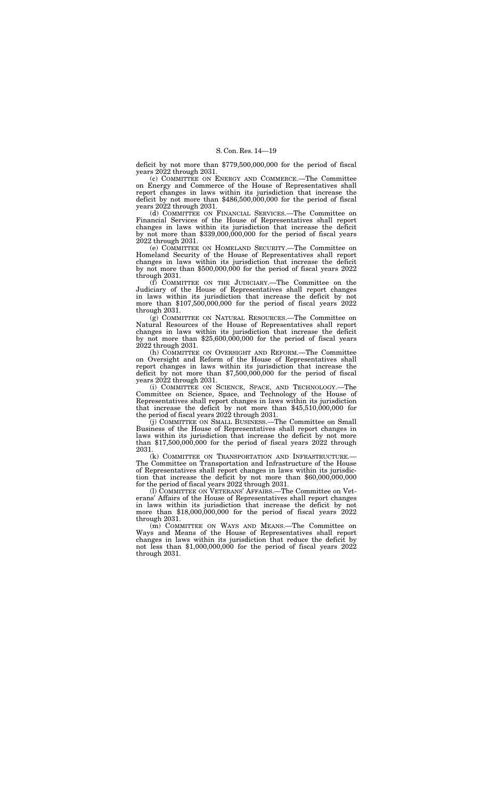(c) COMMITTEE ON ENERGY AND COMMERCE.—The Committee on Energy and Commerce of the House of Representatives shall report changes in laws within its jurisdiction that increase the deficit by not more than \$486,500,000,000 for the period of fiscal years 2022 through 2031.

deficit by not more than \$779,500,000,000 for the period of fiscal years 2022 through 2031.

(d) COMMITTEE ON FINANCIAL SERVICES.—The Committee on Financial Services of the House of Representatives shall report changes in laws within its jurisdiction that increase the deficit by not more than \$339,000,000,000 for the period of fiscal years 2022 through 2031.

(h) COMMITTEE ON OVERSIGHT AND REFORM.—The Committee on Oversight and Reform of the House of Representatives shall report changes in laws within its jurisdiction that increase the deficit by not more than \$7,500,000,000 for the period of fiscal years 2022 through 2031.

(e) COMMITTEE ON HOMELAND SECURITY.—The Committee on Homeland Security of the House of Representatives shall report changes in laws within its jurisdiction that increase the deficit by not more than \$500,000,000 for the period of fiscal years 2022 through 2031.

(f) COMMITTEE ON THE JUDICIARY.—The Committee on the Judiciary of the House of Representatives shall report changes in laws within its jurisdiction that increase the deficit by not more than \$107,500,000,000 for the period of fiscal years 2022 through 2031.

(g) COMMITTEE ON NATURAL RESOURCES.—The Committee on Natural Resources of the House of Representatives shall report changes in laws within its jurisdiction that increase the deficit by not more than \$25,600,000,000 for the period of fiscal years 2022 through 2031.

(i) COMMITTEE ON SCIENCE, SPACE, AND TECHNOLOGY.—The Committee on Science, Space, and Technology of the House of Representatives shall report changes in laws within its jurisdiction that increase the deficit by not more than \$45,510,000,000 for the period of fiscal years 2022 through 2031.

(j) COMMITTEE ON SMALL BUSINESS.—The Committee on Small Business of the House of Representatives shall report changes in laws within its jurisdiction that increase the deficit by not more than \$17,500,000,000 for the period of fiscal years 2022 through 2031.

(k) COMMITTEE ON TRANSPORTATION AND INFRASTRUCTURE.— The Committee on Transportation and Infrastructure of the House of Representatives shall report changes in laws within its jurisdiction that increase the deficit by not more than \$60,000,000,000 for the period of fiscal years 2022 through 2031.

(l) COMMITTEE ON VETERANS' AFFAIRS.—The Committee on Veterans' Affairs of the House of Representatives shall report changes in laws within its jurisdiction that increase the deficit by not more than \$18,000,000,000 for the period of fiscal years 2022 through 2031.

(m) COMMITTEE ON WAYS AND MEANS.—The Committee on Ways and Means of the House of Representatives shall report changes in laws within its jurisdiction that reduce the deficit by not less than \$1,000,000,000 for the period of fiscal years 2022 through 2031.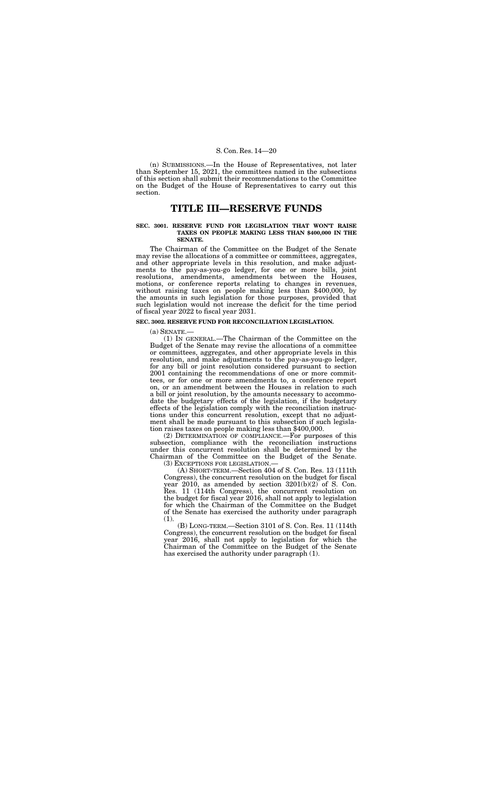(n) SUBMISSIONS.—In the House of Representatives, not later than September 15, 2021, the committees named in the subsections of this section shall submit their recommendations to the Committee on the Budget of the House of Representatives to carry out this section.

# **TITLE III—RESERVE FUNDS**

## **SEC. 3001. RESERVE FUND FOR LEGISLATION THAT WON'T RAISE TAXES ON PEOPLE MAKING LESS THAN \$400,000 IN THE SENATE.**

The Chairman of the Committee on the Budget of the Senate may revise the allocations of a committee or committees, aggregates, and other appropriate levels in this resolution, and make adjustments to the pay-as-you-go ledger, for one or more bills, joint resolutions, amendments, amendments between the Houses, motions, or conference reports relating to changes in revenues, without raising taxes on people making less than \$400,000, by the amounts in such legislation for those purposes, provided that such legislation would not increase the deficit for the time period of fiscal year 2022 to fiscal year 2031.

## **SEC. 3002. RESERVE FUND FOR RECONCILIATION LEGISLATION.**

(a) SENATE.—

(1) IN GENERAL.—The Chairman of the Committee on the Budget of the Senate may revise the allocations of a committee or committees, aggregates, and other appropriate levels in this resolution, and make adjustments to the pay-as-you-go ledger, for any bill or joint resolution considered pursuant to section 2001 containing the recommendations of one or more committees, or for one or more amendments to, a conference report on, or an amendment between the Houses in relation to such a bill or joint resolution, by the amounts necessary to accommodate the budgetary effects of the legislation, if the budgetary effects of the legislation comply with the reconciliation instructions under this concurrent resolution, except that no adjustment shall be made pursuant to this subsection if such legislation raises taxes on people making less than \$400,000.

(2) DETERMINATION OF COMPLIANCE.—For purposes of this subsection, compliance with the reconciliation instructions under this concurrent resolution shall be determined by the Chairman of the Committee on the Budget of the Senate. (3) EXCEPTIONS FOR LEGISLATION.—

(A) SHORT-TERM.—Section 404 of S. Con. Res. 13 (111th Congress), the concurrent resolution on the budget for fiscal year 2010, as amended by section  $3201(b)(2)$  of S. Con. Res. 11 (114th Congress), the concurrent resolution on the budget for fiscal year 2016, shall not apply to legislation for which the Chairman of the Committee on the Budget of the Senate has exercised the authority under paragraph (1).

(B) LONG-TERM.—Section 3101 of S. Con. Res. 11 (114th Congress), the concurrent resolution on the budget for fiscal year 2016, shall not apply to legislation for which the Chairman of the Committee on the Budget of the Senate has exercised the authority under paragraph (1).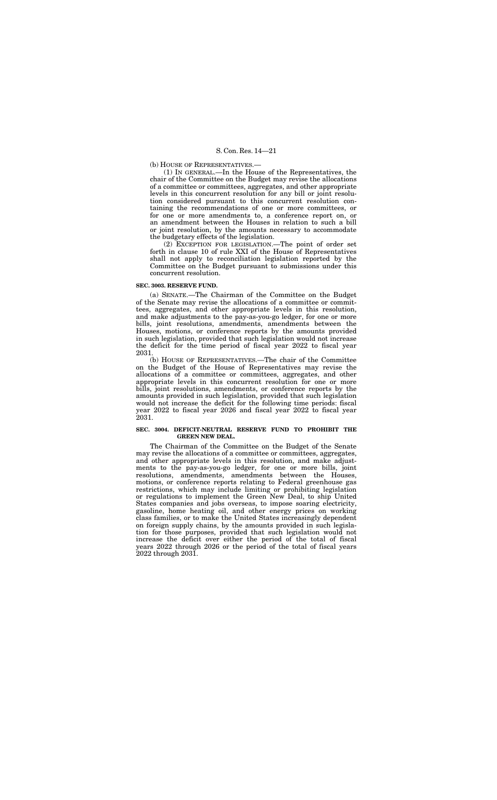(b) HOUSE OF REPRESENTATIVES.—

(1) IN GENERAL.—In the House of the Representatives, the chair of the Committee on the Budget may revise the allocations of a committee or committees, aggregates, and other appropriate levels in this concurrent resolution for any bill or joint resolution considered pursuant to this concurrent resolution containing the recommendations of one or more committees, or for one or more amendments to, a conference report on, or an amendment between the Houses in relation to such a bill or joint resolution, by the amounts necessary to accommodate the budgetary effects of the legislation.

(2) EXCEPTION FOR LEGISLATION.—The point of order set forth in clause 10 of rule XXI of the House of Representatives shall not apply to reconciliation legislation reported by the Committee on the Budget pursuant to submissions under this concurrent resolution.

# **SEC. 3003. RESERVE FUND.**

(a) SENATE.—The Chairman of the Committee on the Budget of the Senate may revise the allocations of a committee or committees, aggregates, and other appropriate levels in this resolution, and make adjustments to the pay-as-you-go ledger, for one or more bills, joint resolutions, amendments, amendments between the Houses, motions, or conference reports by the amounts provided in such legislation, provided that such legislation would not increase the deficit for the time period of fiscal year 2022 to fiscal year 2031.

(b) HOUSE OF REPRESENTATIVES.—The chair of the Committee on the Budget of the House of Representatives may revise the allocations of a committee or committees, aggregates, and other appropriate levels in this concurrent resolution for one or more bills, joint resolutions, amendments, or conference reports by the amounts provided in such legislation, provided that such legislation would not increase the deficit for the following time periods: fiscal year 2022 to fiscal year 2026 and fiscal year 2022 to fiscal year 2031.

# **SEC. 3004. DEFICIT-NEUTRAL RESERVE FUND TO PROHIBIT THE GREEN NEW DEAL.**

The Chairman of the Committee on the Budget of the Senate may revise the allocations of a committee or committees, aggregates, and other appropriate levels in this resolution, and make adjustments to the pay-as-you-go ledger, for one or more bills, joint resolutions, amendments, amendments between the Houses, motions, or conference reports relating to Federal greenhouse gas restrictions, which may include limiting or prohibiting legislation or regulations to implement the Green New Deal, to ship United States companies and jobs overseas, to impose soaring electricity, gasoline, home heating oil, and other energy prices on working class families, or to make the United States increasingly dependent on foreign supply chains, by the amounts provided in such legislation for those purposes, provided that such legislation would not increase the deficit over either the period of the total of fiscal years 2022 through 2026 or the period of the total of fiscal years 2022 through 2031.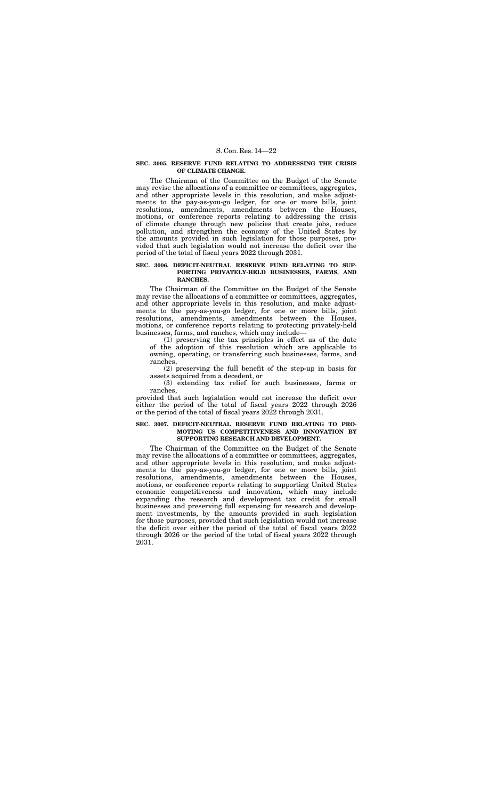# **SEC. 3005. RESERVE FUND RELATING TO ADDRESSING THE CRISIS OF CLIMATE CHANGE.**

The Chairman of the Committee on the Budget of the Senate may revise the allocations of a committee or committees, aggregates, and other appropriate levels in this resolution, and make adjustments to the pay-as-you-go ledger, for one or more bills, joint resolutions, amendments, amendments between the Houses, motions, or conference reports relating to addressing the crisis of climate change through new policies that create jobs, reduce pollution, and strengthen the economy of the United States by the amounts provided in such legislation for those purposes, provided that such legislation would not increase the deficit over the period of the total of fiscal years 2022 through 2031.

# **SEC. 3006. DEFICIT-NEUTRAL RESERVE FUND RELATING TO SUP-PORTING PRIVATELY-HELD BUSINESSES, FARMS, AND RANCHES.**

The Chairman of the Committee on the Budget of the Senate may revise the allocations of a committee or committees, aggregates, and other appropriate levels in this resolution, and make adjustments to the pay-as-you-go ledger, for one or more bills, joint resolutions, amendments, amendments between the Houses, motions, or conference reports relating to protecting privately-held businesses, farms, and ranches, which may include—

(1) preserving the tax principles in effect as of the date of the adoption of this resolution which are applicable to owning, operating, or transferring such businesses, farms, and ranches,

(2) preserving the full benefit of the step-up in basis for assets acquired from a decedent, or

(3) extending tax relief for such businesses, farms or ranches,

provided that such legislation would not increase the deficit over either the period of the total of fiscal years 2022 through 2026 or the period of the total of fiscal years 2022 through 2031.

## **SEC. 3007. DEFICIT-NEUTRAL RESERVE FUND RELATING TO PRO-MOTING US COMPETITIVENESS AND INNOVATION BY SUPPORTING RESEARCH AND DEVELOPMENT.**

The Chairman of the Committee on the Budget of the Senate may revise the allocations of a committee or committees, aggregates, and other appropriate levels in this resolution, and make adjustments to the pay-as-you-go ledger, for one or more bills, joint resolutions, amendments, amendments between the Houses, motions, or conference reports relating to supporting United States economic competitiveness and innovation, which may include expanding the research and development tax credit for small businesses and preserving full expensing for research and development investments, by the amounts provided in such legislation for those purposes, provided that such legislation would not increase the deficit over either the period of the total of fiscal years 2022 through 2026 or the period of the total of fiscal years 2022 through 2031.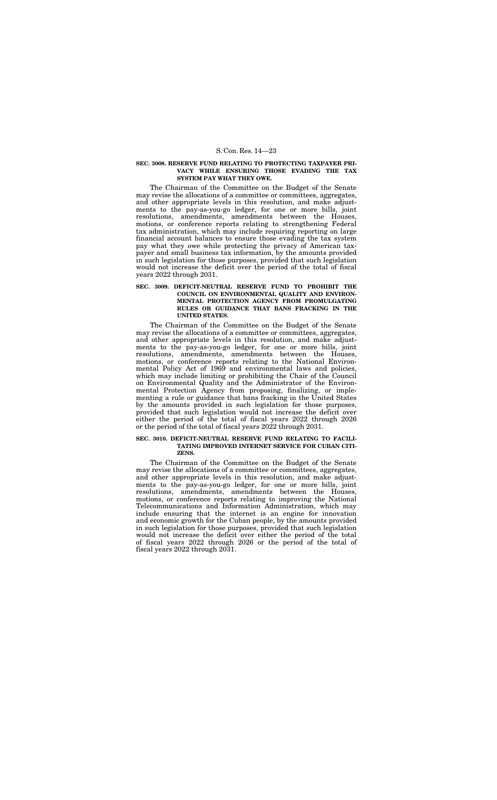# **SEC. 3008. RESERVE FUND RELATING TO PROTECTING TAXPAYER PRI-VACY WHILE ENSURING THOSE EVADING THE TAX SYSTEM PAY WHAT THEY OWE.**

The Chairman of the Committee on the Budget of the Senate may revise the allocations of a committee or committees, aggregates, and other appropriate levels in this resolution, and make adjustments to the pay-as-you-go ledger, for one or more bills, joint resolutions, amendments, amendments between the Houses, motions, or conference reports relating to strengthening Federal tax administration, which may include requiring reporting on large financial account balances to ensure those evading the tax system pay what they owe while protecting the privacy of American taxpayer and small business tax information, by the amounts provided in such legislation for those purposes, provided that such legislation would not increase the deficit over the period of the total of fiscal years 2022 through 2031.

# **SEC. 3009. DEFICIT-NEUTRAL RESERVE FUND TO PROHIBIT THE COUNCIL ON ENVIRONMENTAL QUALITY AND ENVIRON-MENTAL PROTECTION AGENCY FROM PROMULGATING RULES OR GUIDANCE THAT BANS FRACKING IN THE UNITED STATES.**

The Chairman of the Committee on the Budget of the Senate may revise the allocations of a committee or committees, aggregates, and other appropriate levels in this resolution, and make adjustments to the pay-as-you-go ledger, for one or more bills, joint resolutions, amendments, amendments between the Houses, motions, or conference reports relating to the National Environmental Policy Act of 1969 and environmental laws and policies, which may include limiting or prohibiting the Chair of the Council on Environmental Quality and the Administrator of the Environmental Protection Agency from proposing, finalizing, or implementing a rule or guidance that bans fracking in the United States by the amounts provided in such legislation for those purposes, provided that such legislation would not increase the deficit over either the period of the total of fiscal years 2022 through 2026 or the period of the total of fiscal years 2022 through 2031.

#### **SEC. 3010. DEFICIT-NEUTRAL RESERVE FUND RELATING TO FACILI-TATING IMPROVED INTERNET SERVICE FOR CUBAN CITI-ZENS.**

The Chairman of the Committee on the Budget of the Senate may revise the allocations of a committee or committees, aggregates, and other appropriate levels in this resolution, and make adjustments to the pay-as-you-go ledger, for one or more bills, joint resolutions, amendments, amendments between the Houses, motions, or conference reports relating to improving the National Telecommunications and Information Administration, which may include ensuring that the internet is an engine for innovation and economic growth for the Cuban people, by the amounts provided in such legislation for those purposes, provided that such legislation would not increase the deficit over either the period of the total of fiscal years 2022 through 2026 or the period of the total of fiscal years 2022 through 2031.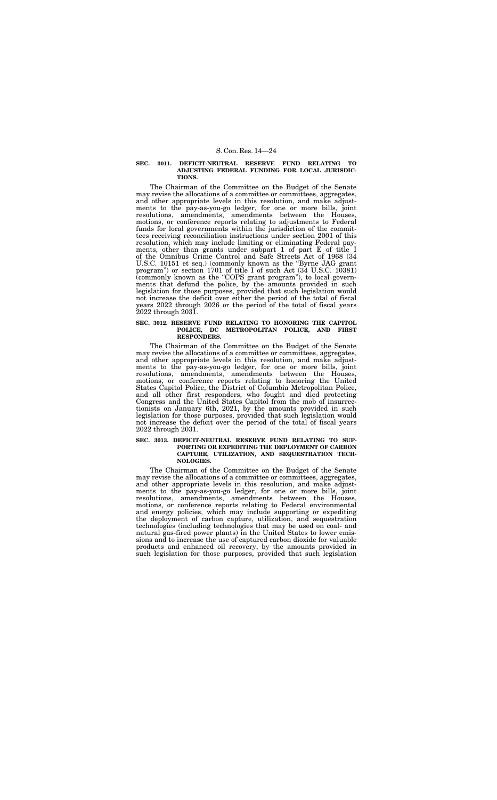# **SEC. 3011. DEFICIT-NEUTRAL RESERVE FUND RELATING TO ADJUSTING FEDERAL FUNDING FOR LOCAL JURISDIC-TIONS.**

The Chairman of the Committee on the Budget of the Senate may revise the allocations of a committee or committees, aggregates, and other appropriate levels in this resolution, and make adjustments to the pay-as-you-go ledger, for one or more bills, joint resolutions, amendments, amendments between the Houses, motions, or conference reports relating to adjustments to Federal funds for local governments within the jurisdiction of the committees receiving reconciliation instructions under section 2001 of this resolution, which may include limiting or eliminating Federal payments, other than grants under subpart 1 of part E of title I of the Omnibus Crime Control and Safe Streets Act of 1968 (34 U.S.C. 10151 et seq.) (commonly known as the ''Byrne JAG grant program'') or section 1701 of title I of such Act (34 U.S.C. 10381) (commonly known as the ''COPS grant program''), to local governments that defund the police, by the amounts provided in such legislation for those purposes, provided that such legislation would not increase the deficit over either the period of the total of fiscal years 2022 through 2026 or the period of the total of fiscal years 2022 through 2031.

#### **SEC. 3012. RESERVE FUND RELATING TO HONORING THE CAPITOL POLICE, DC METROPOLITAN POLICE, AND FIRST RESPONDERS.**

The Chairman of the Committee on the Budget of the Senate may revise the allocations of a committee or committees, aggregates, and other appropriate levels in this resolution, and make adjustments to the pay-as-you-go ledger, for one or more bills, joint resolutions, amendments, amendments between the Houses, motions, or conference reports relating to honoring the United States Capitol Police, the District of Columbia Metropolitan Police, and all other first responders, who fought and died protecting Congress and the United States Capitol from the mob of insurrectionists on January 6th, 2021, by the amounts provided in such legislation for those purposes, provided that such legislation would not increase the deficit over the period of the total of fiscal years 2022 through 2031.

# **SEC. 3013. DEFICIT-NEUTRAL RESERVE FUND RELATING TO SUP-PORTING OR EXPEDITING THE DEPLOYMENT OF CARBON CAPTURE, UTILIZATION, AND SEQUESTRATION TECH-NOLOGIES.**

The Chairman of the Committee on the Budget of the Senate may revise the allocations of a committee or committees, aggregates, and other appropriate levels in this resolution, and make adjustments to the pay-as-you-go ledger, for one or more bills, joint resolutions, amendments, amendments between the Houses, motions, or conference reports relating to Federal environmental and energy policies, which may include supporting or expediting the deployment of carbon capture, utilization, and sequestration technologies (including technologies that may be used on coal- and natural gas-fired power plants) in the United States to lower emissions and to increase the use of captured carbon dioxide for valuable products and enhanced oil recovery, by the amounts provided in such legislation for those purposes, provided that such legislation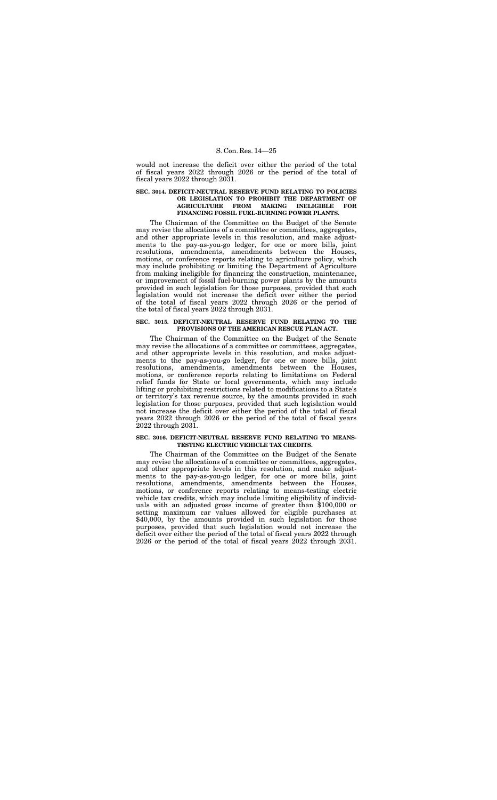would not increase the deficit over either the period of the total of fiscal years 2022 through 2026 or the period of the total of fiscal years 2022 through 2031.

# **SEC. 3014. DEFICIT-NEUTRAL RESERVE FUND RELATING TO POLICIES OR LEGISLATION TO PROHIBIT THE DEPARTMENT OF AGRICULTURE FROM MAKING INELIGIBLE FOR FINANCING FOSSIL FUEL-BURNING POWER PLANTS.**

The Chairman of the Committee on the Budget of the Senate may revise the allocations of a committee or committees, aggregates, and other appropriate levels in this resolution, and make adjustments to the pay-as-you-go ledger, for one or more bills, joint resolutions, amendments, amendments between the Houses, motions, or conference reports relating to agriculture policy, which may include prohibiting or limiting the Department of Agriculture from making ineligible for financing the construction, maintenance, or improvement of fossil fuel-burning power plants by the amounts provided in such legislation for those purposes, provided that such legislation would not increase the deficit over either the period of the total of fiscal years 2022 through 2026 or the period of the total of fiscal years 2022 through 2031.

# **SEC. 3015. DEFICIT-NEUTRAL RESERVE FUND RELATING TO THE PROVISIONS OF THE AMERICAN RESCUE PLAN ACT.**

The Chairman of the Committee on the Budget of the Senate may revise the allocations of a committee or committees, aggregates, and other appropriate levels in this resolution, and make adjustments to the pay-as-you-go ledger, for one or more bills, joint resolutions, amendments, amendments between the Houses, motions, or conference reports relating to limitations on Federal relief funds for State or local governments, which may include lifting or prohibiting restrictions related to modifications to a State's or territory's tax revenue source, by the amounts provided in such legislation for those purposes, provided that such legislation would not increase the deficit over either the period of the total of fiscal years 2022 through 2026 or the period of the total of fiscal years 2022 through 2031.

# **SEC. 3016. DEFICIT-NEUTRAL RESERVE FUND RELATING TO MEANS-TESTING ELECTRIC VEHICLE TAX CREDITS.**

The Chairman of the Committee on the Budget of the Senate may revise the allocations of a committee or committees, aggregates, and other appropriate levels in this resolution, and make adjustments to the pay-as-you-go ledger, for one or more bills, joint resolutions, amendments, amendments between the Houses, motions, or conference reports relating to means-testing electric vehicle tax credits, which may include limiting eligibility of individuals with an adjusted gross income of greater than \$100,000 or setting maximum car values allowed for eligible purchases at \$40,000, by the amounts provided in such legislation for those purposes, provided that such legislation would not increase the deficit over either the period of the total of fiscal years 2022 through 2026 or the period of the total of fiscal years 2022 through 2031.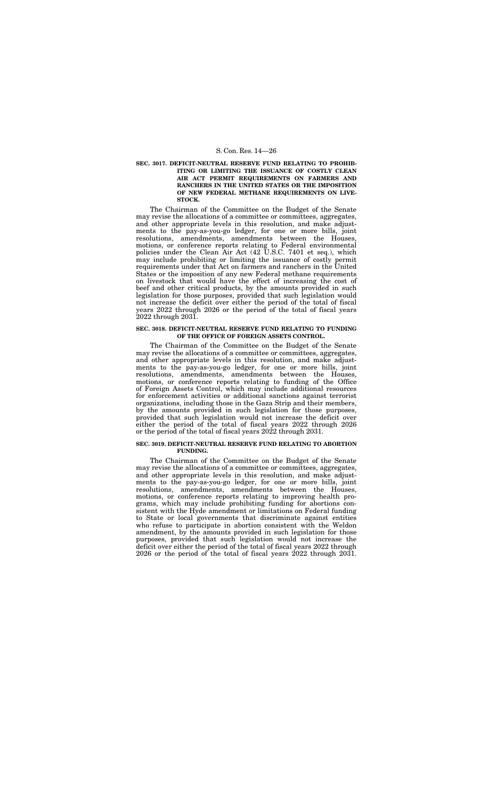# **SEC. 3017. DEFICIT-NEUTRAL RESERVE FUND RELATING TO PROHIB-ITING OR LIMITING THE ISSUANCE OF COSTLY CLEAN AIR ACT PERMIT REQUIREMENTS ON FARMERS AND RANCHERS IN THE UNITED STATES OR THE IMPOSITION OF NEW FEDERAL METHANE REQUIREMENTS ON LIVE-STOCK.**

The Chairman of the Committee on the Budget of the Senate may revise the allocations of a committee or committees, aggregates, and other appropriate levels in this resolution, and make adjustments to the pay-as-you-go ledger, for one or more bills, joint resolutions, amendments, amendments between the Houses, motions, or conference reports relating to Federal environmental policies under the Clean Air Act (42 U.S.C. 7401 et seq.), which may include prohibiting or limiting the issuance of costly permit requirements under that Act on farmers and ranchers in the United States or the imposition of any new Federal methane requirements on livestock that would have the effect of increasing the cost of beef and other critical products, by the amounts provided in such legislation for those purposes, provided that such legislation would not increase the deficit over either the period of the total of fiscal years 2022 through 2026 or the period of the total of fiscal years 2022 through 2031.

### **SEC. 3018. DEFICIT-NEUTRAL RESERVE FUND RELATING TO FUNDING OF THE OFFICE OF FOREIGN ASSETS CONTROL.**

The Chairman of the Committee on the Budget of the Senate may revise the allocations of a committee or committees, aggregates, and other appropriate levels in this resolution, and make adjustments to the pay-as-you-go ledger, for one or more bills, joint resolutions, amendments, amendments between the Houses, motions, or conference reports relating to funding of the Office of Foreign Assets Control, which may include additional resources for enforcement activities or additional sanctions against terrorist organizations, including those in the Gaza Strip and their members, by the amounts provided in such legislation for those purposes, provided that such legislation would not increase the deficit over either the period of the total of fiscal years 2022 through 2026 or the period of the total of fiscal years 2022 through 2031.

# **SEC. 3019. DEFICIT-NEUTRAL RESERVE FUND RELATING TO ABORTION FUNDING.**

The Chairman of the Committee on the Budget of the Senate may revise the allocations of a committee or committees, aggregates, and other appropriate levels in this resolution, and make adjustments to the pay-as-you-go ledger, for one or more bills, joint resolutions, amendments, amendments between the Houses, motions, or conference reports relating to improving health programs, which may include prohibiting funding for abortions consistent with the Hyde amendment or limitations on Federal funding to State or local governments that discriminate against entities who refuse to participate in abortion consistent with the Weldon amendment, by the amounts provided in such legislation for those purposes, provided that such legislation would not increase the deficit over either the period of the total of fiscal years 2022 through 2026 or the period of the total of fiscal years 2022 through 2031.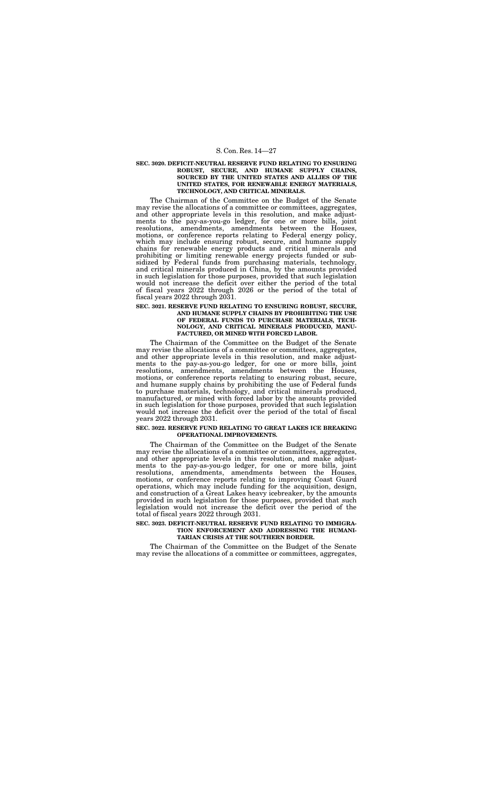## **SEC. 3020. DEFICIT-NEUTRAL RESERVE FUND RELATING TO ENSURING ROBUST, SECURE, AND HUMANE SUPPLY CHAINS, SOURCED BY THE UNITED STATES AND ALLIES OF THE UNITED STATES, FOR RENEWABLE ENERGY MATERIALS, TECHNOLOGY, AND CRITICAL MINERALS.**

The Chairman of the Committee on the Budget of the Senate may revise the allocations of a committee or committees, aggregates, and other appropriate levels in this resolution, and make adjustments to the pay-as-you-go ledger, for one or more bills, joint resolutions, amendments, amendments between the Houses, motions, or conference reports relating to Federal energy policy, which may include ensuring robust, secure, and humane supply chains for renewable energy products and critical minerals and prohibiting or limiting renewable energy projects funded or subsidized by Federal funds from purchasing materials, technology, and critical minerals produced in China, by the amounts provided in such legislation for those purposes, provided that such legislation would not increase the deficit over either the period of the total of fiscal years 2022 through 2026 or the period of the total of fiscal years 2022 through 2031.

# **SEC. 3021. RESERVE FUND RELATING TO ENSURING ROBUST, SECURE, AND HUMANE SUPPLY CHAINS BY PROHIBITING THE USE OF FEDERAL FUNDS TO PURCHASE MATERIALS, TECH-NOLOGY, AND CRITICAL MINERALS PRODUCED, MANU-FACTURED, OR MINED WITH FORCED LABOR.**

The Chairman of the Committee on the Budget of the Senate may revise the allocations of a committee or committees, aggregates, and other appropriate levels in this resolution, and make adjustments to the pay-as-you-go ledger, for one or more bills, joint resolutions, amendments, amendments between the Houses, motions, or conference reports relating to ensuring robust, secure, and humane supply chains by prohibiting the use of Federal funds to purchase materials, technology, and critical minerals produced, manufactured, or mined with forced labor by the amounts provided in such legislation for those purposes, provided that such legislation would not increase the deficit over the period of the total of fiscal years 2022 through 2031.

# **SEC. 3022. RESERVE FUND RELATING TO GREAT LAKES ICE BREAKING OPERATIONAL IMPROVEMENTS.**

The Chairman of the Committee on the Budget of the Senate may revise the allocations of a committee or committees, aggregates, and other appropriate levels in this resolution, and make adjustments to the pay-as-you-go ledger, for one or more bills, joint resolutions, amendments, amendments between the Houses, motions, or conference reports relating to improving Coast Guard operations, which may include funding for the acquisition, design, and construction of a Great Lakes heavy icebreaker, by the amounts provided in such legislation for those purposes, provided that such legislation would not increase the deficit over the period of the total of fiscal years 2022 through 2031.

# **SEC. 3023. DEFICIT-NEUTRAL RESERVE FUND RELATING TO IMMIGRA-TION ENFORCEMENT AND ADDRESSING THE HUMANI-TARIAN CRISIS AT THE SOUTHERN BORDER.**

The Chairman of the Committee on the Budget of the Senate may revise the allocations of a committee or committees, aggregates,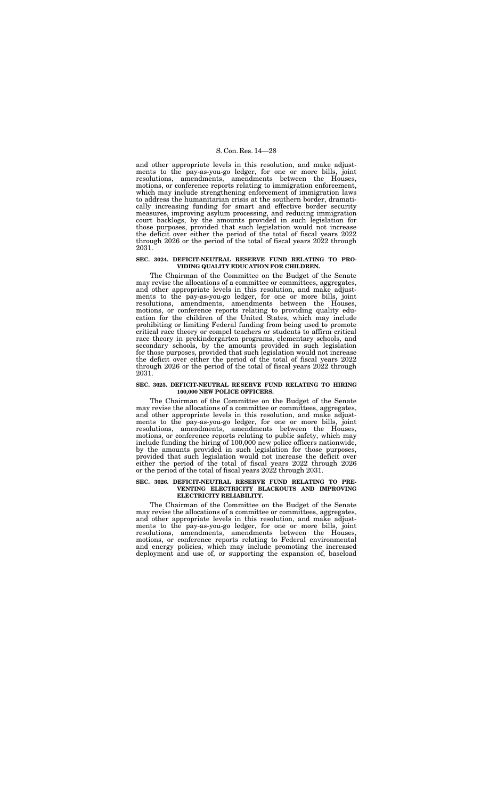and other appropriate levels in this resolution, and make adjustments to the pay-as-you-go ledger, for one or more bills, joint resolutions, amendments, amendments between the Houses, motions, or conference reports relating to immigration enforcement, which may include strengthening enforcement of immigration laws to address the humanitarian crisis at the southern border, dramatically increasing funding for smart and effective border security measures, improving asylum processing, and reducing immigration court backlogs, by the amounts provided in such legislation for those purposes, provided that such legislation would not increase the deficit over either the period of the total of fiscal years 2022 through 2026 or the period of the total of fiscal years 2022 through 2031.

# **SEC. 3024. DEFICIT-NEUTRAL RESERVE FUND RELATING TO PRO-VIDING QUALITY EDUCATION FOR CHILDREN.**

The Chairman of the Committee on the Budget of the Senate may revise the allocations of a committee or committees, aggregates, and other appropriate levels in this resolution, and make adjustments to the pay-as-you-go ledger, for one or more bills, joint resolutions, amendments, amendments between the Houses, motions, or conference reports relating to providing quality education for the children of the United States, which may include prohibiting or limiting Federal funding from being used to promote critical race theory or compel teachers or students to affirm critical race theory in prekindergarten programs, elementary schools, and secondary schools, by the amounts provided in such legislation for those purposes, provided that such legislation would not increase the deficit over either the period of the total of fiscal years 2022 through 2026 or the period of the total of fiscal years 2022 through 2031.

# **SEC. 3025. DEFICIT-NEUTRAL RESERVE FUND RELATING TO HIRING 100,000 NEW POLICE OFFICERS.**

The Chairman of the Committee on the Budget of the Senate may revise the allocations of a committee or committees, aggregates, and other appropriate levels in this resolution, and make adjustments to the pay-as-you-go ledger, for one or more bills, joint resolutions, amendments, amendments between the Houses, motions, or conference reports relating to public safety, which may include funding the hiring of 100,000 new police officers nationwide, by the amounts provided in such legislation for those purposes, provided that such legislation would not increase the deficit over either the period of the total of fiscal years 2022 through 2026 or the period of the total of fiscal years 2022 through 2031.

# **SEC. 3026. DEFICIT-NEUTRAL RESERVE FUND RELATING TO PRE-VENTING ELECTRICITY BLACKOUTS AND IMPROVING ELECTRICITY RELIABILITY.**

The Chairman of the Committee on the Budget of the Senate may revise the allocations of a committee or committees, aggregates, and other appropriate levels in this resolution, and make adjustments to the pay-as-you-go ledger, for one or more bills, joint resolutions, amendments, amendments between the Houses, motions, or conference reports relating to Federal environmental and energy policies, which may include promoting the increased deployment and use of, or supporting the expansion of, baseload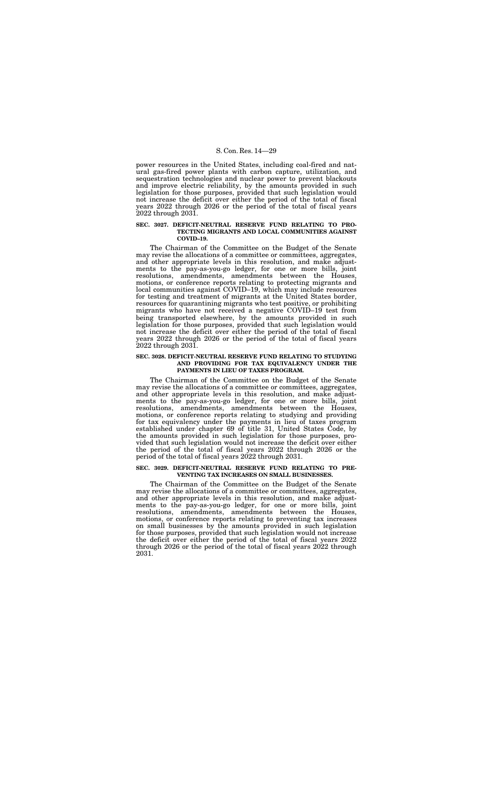power resources in the United States, including coal-fired and natural gas-fired power plants with carbon capture, utilization, and sequestration technologies and nuclear power to prevent blackouts and improve electric reliability, by the amounts provided in such legislation for those purposes, provided that such legislation would not increase the deficit over either the period of the total of fiscal years 2022 through 2026 or the period of the total of fiscal years 2022 through 2031.

## **SEC. 3027. DEFICIT-NEUTRAL RESERVE FUND RELATING TO PRO-TECTING MIGRANTS AND LOCAL COMMUNITIES AGAINST COVID–19.**

The Chairman of the Committee on the Budget of the Senate may revise the allocations of a committee or committees, aggregates, and other appropriate levels in this resolution, and make adjustments to the pay-as-you-go ledger, for one or more bills, joint resolutions, amendments, amendments between the Houses, motions, or conference reports relating to protecting migrants and local communities against COVID–19, which may include resources for testing and treatment of migrants at the United States border, resources for quarantining migrants who test positive, or prohibiting migrants who have not received a negative COVID–19 test from being transported elsewhere, by the amounts provided in such legislation for those purposes, provided that such legislation would not increase the deficit over either the period of the total of fiscal years 2022 through 2026 or the period of the total of fiscal years 2022 through 2031.

# **SEC. 3028. DEFICIT-NEUTRAL RESERVE FUND RELATING TO STUDYING AND PROVIDING FOR TAX EQUIVALENCY UNDER THE PAYMENTS IN LIEU OF TAXES PROGRAM.**

The Chairman of the Committee on the Budget of the Senate may revise the allocations of a committee or committees, aggregates, and other appropriate levels in this resolution, and make adjustments to the pay-as-you-go ledger, for one or more bills, joint resolutions, amendments, amendments between the Houses, motions, or conference reports relating to studying and providing for tax equivalency under the payments in lieu of taxes program established under chapter 69 of title 31, United States Code, by the amounts provided in such legislation for those purposes, provided that such legislation would not increase the deficit over either the period of the total of fiscal years 2022 through 2026 or the period of the total of fiscal years 2022 through 2031.

# **SEC. 3029. DEFICIT-NEUTRAL RESERVE FUND RELATING TO PRE-VENTING TAX INCREASES ON SMALL BUSINESSES.**

The Chairman of the Committee on the Budget of the Senate may revise the allocations of a committee or committees, aggregates, and other appropriate levels in this resolution, and make adjustments to the pay-as-you-go ledger, for one or more bills, joint resolutions, amendments, amendments between the Houses, motions, or conference reports relating to preventing tax increases on small businesses by the amounts provided in such legislation for those purposes, provided that such legislation would not increase the deficit over either the period of the total of fiscal years 2022 through 2026 or the period of the total of fiscal years 2022 through 2031.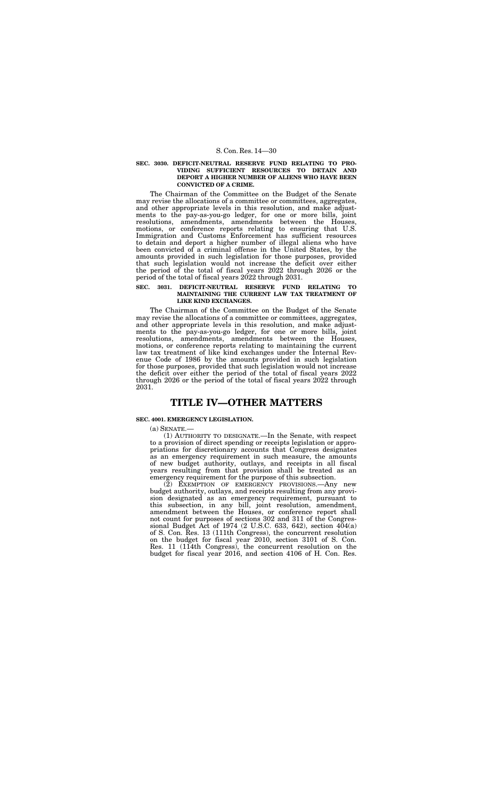# **SEC. 3030. DEFICIT-NEUTRAL RESERVE FUND RELATING TO PRO-VIDING SUFFICIENT RESOURCES TO DETAIN AND DEPORT A HIGHER NUMBER OF ALIENS WHO HAVE BEEN CONVICTED OF A CRIME.**

The Chairman of the Committee on the Budget of the Senate may revise the allocations of a committee or committees, aggregates, and other appropriate levels in this resolution, and make adjustments to the pay-as-you-go ledger, for one or more bills, joint resolutions, amendments, amendments between the Houses, motions, or conference reports relating to ensuring that U.S. Immigration and Customs Enforcement has sufficient resources to detain and deport a higher number of illegal aliens who have been convicted of a criminal offense in the United States, by the amounts provided in such legislation for those purposes, provided that such legislation would not increase the deficit over either the period of the total of fiscal years 2022 through 2026 or the period of the total of fiscal years 2022 through 2031.

#### **SEC. 3031. DEFICIT-NEUTRAL RESERVE FUND RELATING TO MAINTAINING THE CURRENT LAW TAX TREATMENT OF LIKE KIND EXCHANGES.**

The Chairman of the Committee on the Budget of the Senate may revise the allocations of a committee or committees, aggregates, and other appropriate levels in this resolution, and make adjustments to the pay-as-you-go ledger, for one or more bills, joint resolutions, amendments, amendments between the Houses, motions, or conference reports relating to maintaining the current law tax treatment of like kind exchanges under the Internal Revenue Code of 1986 by the amounts provided in such legislation for those purposes, provided that such legislation would not increase the deficit over either the period of the total of fiscal years 2022 through 2026 or the period of the total of fiscal years 2022 through 2031.

# **TITLE IV—OTHER MATTERS**

#### **SEC. 4001. EMERGENCY LEGISLATION.**

(a) SENATE.—

(1) AUTHORITY TO DESIGNATE.—In the Senate, with respect to a provision of direct spending or receipts legislation or appropriations for discretionary accounts that Congress designates as an emergency requirement in such measure, the amounts of new budget authority, outlays, and receipts in all fiscal years resulting from that provision shall be treated as an emergency requirement for the purpose of this subsection.

(2) EXEMPTION OF EMERGENCY PROVISIONS.—Any new budget authority, outlays, and receipts resulting from any provision designated as an emergency requirement, pursuant to this subsection, in any bill, joint resolution, amendment, amendment between the Houses, or conference report shall not count for purposes of sections 302 and 311 of the Congressional Budget Act of 1974 (2 U.S.C. 633, 642), section  $4\overline{0}4(a)$ of S. Con. Res. 13 (111th Congress), the concurrent resolution on the budget for fiscal year 2010, section 3101 of S. Con. Res. 11 (114th Congress), the concurrent resolution on the budget for fiscal year 2016, and section 4106 of H. Con. Res.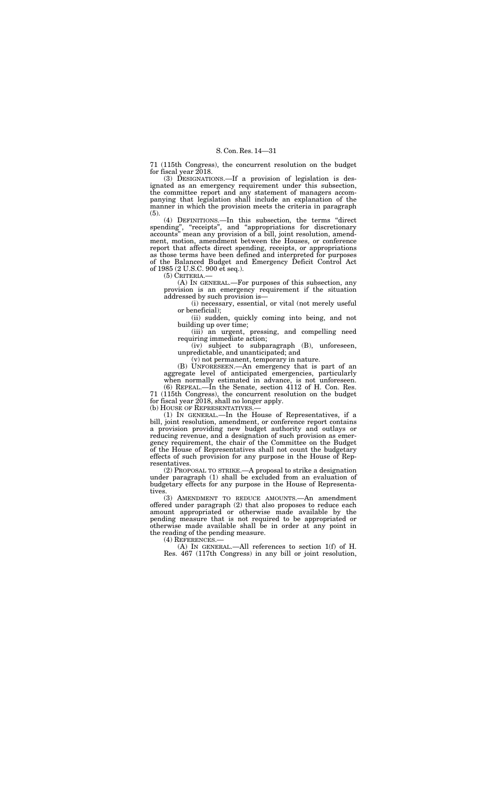71 (115th Congress), the concurrent resolution on the budget for fiscal year 2018.

(3) DESIGNATIONS.—If a provision of legislation is designated as an emergency requirement under this subsection, the committee report and any statement of managers accompanying that legislation shall include an explanation of the manner in which the provision meets the criteria in paragraph (5).

(4) DEFINITIONS.—In this subsection, the terms ''direct spending", "receipts", and "appropriations for discretionary accounts'' mean any provision of a bill, joint resolution, amendment, motion, amendment between the Houses, or conference report that affects direct spending, receipts, or appropriations as those terms have been defined and interpreted for purposes of the Balanced Budget and Emergency Deficit Control Act of 1985 (2 U.S.C. 900 et seq.).

71 (115th Congress), the concurrent resolution on the budget for fiscal year 2018, shall no longer apply.<br>(b) HOUSE OF REPRESENTATIVES.—

(5) CRITERIA.—

(A) IN GENERAL.—For purposes of this subsection, any provision is an emergency requirement if the situation addressed by such provision is—

(i) necessary, essential, or vital (not merely useful or beneficial);

 $(1)$  IN GENERAL.—In the House of Representatives, if a bill, joint resolution, amendment, or conference report contains a provision providing new budget authority and outlays or reducing revenue, and a designation of such provision as emergency requirement, the chair of the Committee on the Budget of the House of Representatives shall not count the budgetary effects of such provision for any purpose in the House of Representatives.

(ii) sudden, quickly coming into being, and not building up over time;

(iii) an urgent, pressing, and compelling need requiring immediate action;

(iv) subject to subparagraph (B), unforeseen, unpredictable, and unanticipated; and

(v) not permanent, temporary in nature.

(B) UNFORESEEN.—An emergency that is part of an aggregate level of anticipated emergencies, particularly when normally estimated in advance, is not unforeseen. (6) REPEAL.—In the Senate, section 4112 of H. Con. Res.

(2) PROPOSAL TO STRIKE.—A proposal to strike a designation under paragraph (1) shall be excluded from an evaluation of budgetary effects for any purpose in the House of Representatives.

(3) AMENDMENT TO REDUCE AMOUNTS.—An amendment offered under paragraph (2) that also proposes to reduce each amount appropriated or otherwise made available by the pending measure that is not required to be appropriated or otherwise made available shall be in order at any point in the reading of the pending measure.

(4) REFERENCES.—

(A) IN GENERAL.—All references to section 1(f) of H. Res. 467 (117th Congress) in any bill or joint resolution,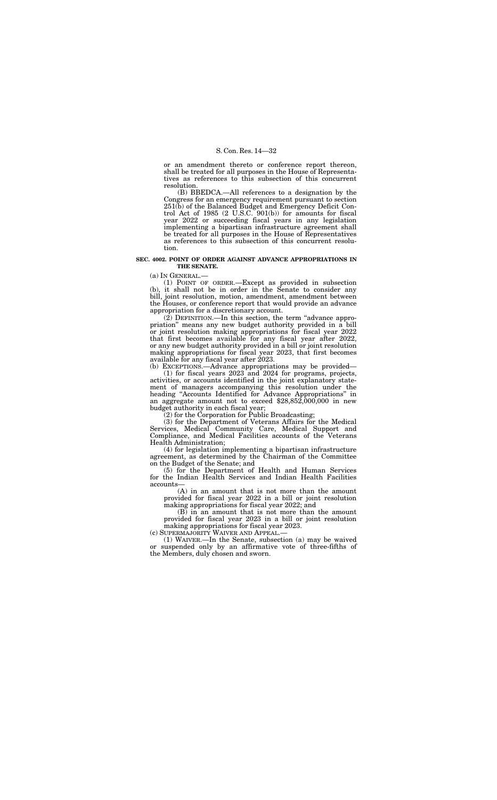or an amendment thereto or conference report thereon, shall be treated for all purposes in the House of Representatives as references to this subsection of this concurrent resolution.

(B) BBEDCA.—All references to a designation by the Congress for an emergency requirement pursuant to section 251(b) of the Balanced Budget and Emergency Deficit Control Act of 1985 (2 U.S.C. 901(b)) for amounts for fiscal year 2022 or succeeding fiscal years in any legislation implementing a bipartisan infrastructure agreement shall be treated for all purposes in the House of Representatives as references to this subsection of this concurrent resolution.

## **SEC. 4002. POINT OF ORDER AGAINST ADVANCE APPROPRIATIONS IN THE SENATE.**

(a) IN GENERAL.—

(1) POINT OF ORDER.—Except as provided in subsection (b), it shall not be in order in the Senate to consider any bill, joint resolution, motion, amendment, amendment between the Houses, or conference report that would provide an advance appropriation for a discretionary account.

(2) DEFINITION.—In this section, the term ''advance appropriation'' means any new budget authority provided in a bill or joint resolution making appropriations for fiscal year 2022 that first becomes available for any fiscal year after 2022, or any new budget authority provided in a bill or joint resolution making appropriations for fiscal year 2023, that first becomes available for any fiscal year after 2023.

(b) EXCEPTIONS.—Advance appropriations may be provided— (1) for fiscal years 2023 and 2024 for programs, projects, activities, or accounts identified in the joint explanatory statement of managers accompanying this resolution under the heading ''Accounts Identified for Advance Appropriations'' in an aggregate amount not to exceed \$28,852,000,000 in new budget authority in each fiscal year;

(2) for the Corporation for Public Broadcasting;

(3) for the Department of Veterans Affairs for the Medical Services, Medical Community Care, Medical Support and Compliance, and Medical Facilities accounts of the Veterans Health Administration;

(4) for legislation implementing a bipartisan infrastructure agreement, as determined by the Chairman of the Committee on the Budget of the Senate; and

(5) for the Department of Health and Human Services for the Indian Health Services and Indian Health Facilities accounts—

(A) in an amount that is not more than the amount provided for fiscal year 2022 in a bill or joint resolution making appropriations for fiscal year 2022; and

(B) in an amount that is not more than the amount provided for fiscal year 2023 in a bill or joint resolution making appropriations for fiscal year 2023.

(c) SUPERMAJORITY WAIVER AND APPEAL.—

(1) WAIVER.—In the Senate, subsection (a) may be waived or suspended only by an affirmative vote of three-fifths of the Members, duly chosen and sworn.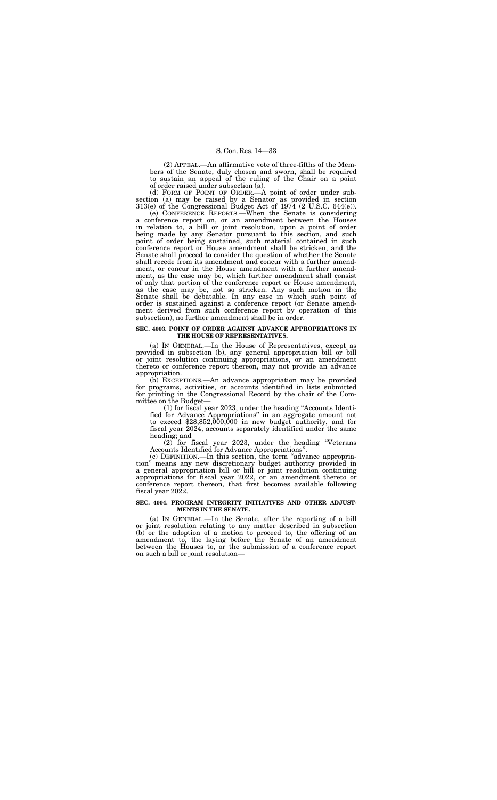(2) APPEAL.—An affirmative vote of three-fifths of the Members of the Senate, duly chosen and sworn, shall be required to sustain an appeal of the ruling of the Chair on a point of order raised under subsection (a).

(d) FORM OF POINT OF ORDER.—A point of order under subsection (a) may be raised by a Senator as provided in section 313(e) of the Congressional Budget Act of 1974 (2 U.S.C. 644(e)).

(e) CONFERENCE REPORTS.—When the Senate is considering a conference report on, or an amendment between the Houses in relation to, a bill or joint resolution, upon a point of order being made by any Senator pursuant to this section, and such point of order being sustained, such material contained in such conference report or House amendment shall be stricken, and the Senate shall proceed to consider the question of whether the Senate shall recede from its amendment and concur with a further amendment, or concur in the House amendment with a further amendment, as the case may be, which further amendment shall consist of only that portion of the conference report or House amendment, as the case may be, not so stricken. Any such motion in the Senate shall be debatable. In any case in which such point of order is sustained against a conference report (or Senate amendment derived from such conference report by operation of this subsection), no further amendment shall be in order.

#### **SEC. 4003. POINT OF ORDER AGAINST ADVANCE APPROPRIATIONS IN THE HOUSE OF REPRESENTATIVES.**

(a) IN GENERAL.—In the House of Representatives, except as provided in subsection (b), any general appropriation bill or bill or joint resolution continuing appropriations, or an amendment thereto or conference report thereon, may not provide an advance appropriation.

(b) EXCEPTIONS.—An advance appropriation may be provided for programs, activities, or accounts identified in lists submitted for printing in the Congressional Record by the chair of the Committee on the Budget—

(1) for fiscal year 2023, under the heading ''Accounts Identified for Advance Appropriations'' in an aggregate amount not to exceed \$28,852,000,000 in new budget authority, and for fiscal year 2024, accounts separately identified under the same heading; and

(2) for fiscal year 2023, under the heading ''Veterans Accounts Identified for Advance Appropriations''.

(c) DEFINITION.—In this section, the term ''advance appropriation'' means any new discretionary budget authority provided in a general appropriation bill or bill or joint resolution continuing appropriations for fiscal year 2022, or an amendment thereto or conference report thereon, that first becomes available following fiscal year 2022.

# **SEC. 4004. PROGRAM INTEGRITY INITIATIVES AND OTHER ADJUST-MENTS IN THE SENATE.**

(a) IN GENERAL.—In the Senate, after the reporting of a bill or joint resolution relating to any matter described in subsection (b) or the adoption of a motion to proceed to, the offering of an amendment to, the laying before the Senate of an amendment between the Houses to, or the submission of a conference report on such a bill or joint resolution—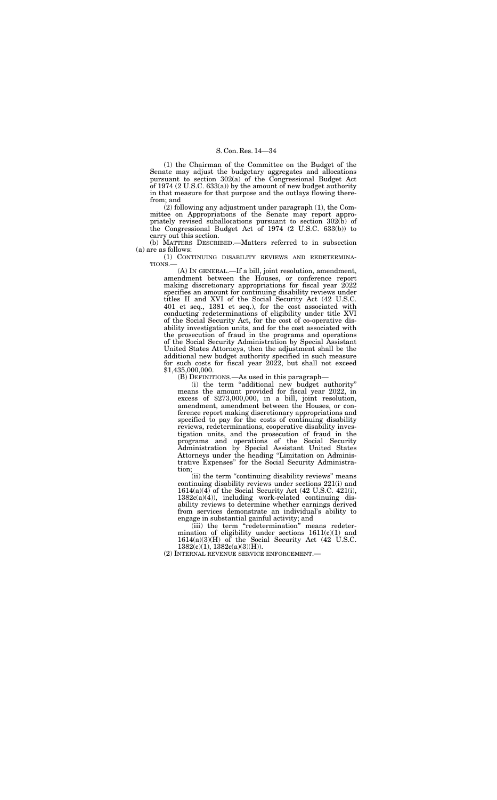(1) the Chairman of the Committee on the Budget of the Senate may adjust the budgetary aggregates and allocations pursuant to section 302(a) of the Congressional Budget Act of 1974  $(2 U.S.C. 633(a))$  by the amount of new budget authority in that measure for that purpose and the outlays flowing therefrom; and

(1) CONTINUING DISABILITY REVIEWS AND REDETERMINA-TIONS.

(2) following any adjustment under paragraph (1), the Committee on Appropriations of the Senate may report appropriately revised suballocations pursuant to section 302(b) of the Congressional Budget Act of 1974 (2 U.S.C. 633(b)) to carry out this section.

(b) MATTERS DESCRIBED.—Matters referred to in subsection (a) are as follows:

> (A) IN GENERAL.—If a bill, joint resolution, amendment, amendment between the Houses, or conference report making discretionary appropriations for fiscal year 2022 specifies an amount for continuing disability reviews under titles II and XVI of the Social Security Act (42 U.S.C. 401 et seq., 1381 et seq.), for the cost associated with conducting redeterminations of eligibility under title XVI of the Social Security Act, for the cost of co-operative disability investigation units, and for the cost associated with the prosecution of fraud in the programs and operations of the Social Security Administration by Special Assistant United States Attorneys, then the adjustment shall be the additional new budget authority specified in such measure for such costs for fiscal year 2022, but shall not exceed \$1,435,000,000.

(iii) the term "redetermination" means redetermination of eligibility under sections 1611(c)(1) and 1614(a)(3)(H) of the Social Security Act  $(42 \text{ U.S.C.})$ 1382(c)(1), 1382c(a)(3)(H)).

(B) DEFINITIONS.—As used in this paragraph—

(i) the term ''additional new budget authority'' means the amount provided for fiscal year 2022, in  $excess of $273,000,000, in a bill, joint resolution,$ amendment, amendment between the Houses, or conference report making discretionary appropriations and specified to pay for the costs of continuing disability reviews, redeterminations, cooperative disability investigation units, and the prosecution of fraud in the programs and operations of the Social Security Administration by Special Assistant United States Attorneys under the heading ''Limitation on Administrative Expenses'' for the Social Security Administration;

(ii) the term ''continuing disability reviews'' means continuing disability reviews under sections 221(i) and  $1614(a)(4)$  of the Social Security Act (42 U.S.C. 421(i), 1382c(a)(4)), including work-related continuing disability reviews to determine whether earnings derived from services demonstrate an individual's ability to engage in substantial gainful activity; and

(2) INTERNAL REVENUE SERVICE ENFORCEMENT.—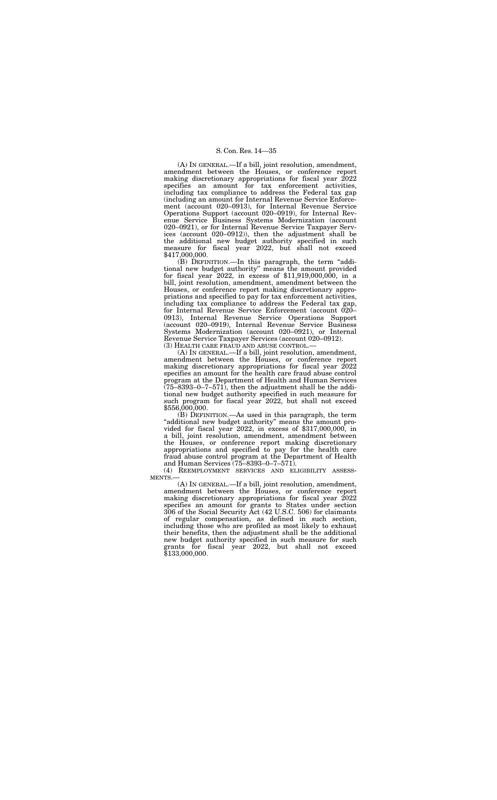(A) IN GENERAL.—If a bill, joint resolution, amendment, amendment between the Houses, or conference report making discretionary appropriations for fiscal year 2022 specifies an amount for tax enforcement activities, including tax compliance to address the Federal tax gap (including an amount for Internal Revenue Service Enforcement (account 020–0913), for Internal Revenue Service Operations Support (account 020–0919), for Internal Revenue Service Business Systems Modernization (account 020–0921), or for Internal Revenue Service Taxpayer Services (account 020–0912)), then the adjustment shall be the additional new budget authority specified in such measure for fiscal year 2022, but shall not exceed \$417,000,000.

(B) DEFINITION.—In this paragraph, the term ''additional new budget authority'' means the amount provided for fiscal year 2022, in excess of \$11,919,000,000, in a bill, joint resolution, amendment, amendment between the Houses, or conference report making discretionary appropriations and specified to pay for tax enforcement activities, including tax compliance to address the Federal tax gap, for Internal Revenue Service Enforcement (account 020– 0913), Internal Revenue Service Operations Support (account 020–0919), Internal Revenue Service Business Systems Modernization (account 020–0921), or Internal Revenue Service Taxpayer Services (account 020–0912). (3) HEALTH CARE FRAUD AND ABUSE CONTROL.—

 $(B)$  DEFINITION.—As used in this paragraph, the term "additional new budget authority" means the amount provided for fiscal year 2022, in excess of \$317,000,000, in a bill, joint resolution, amendment, amendment between the Houses, or conference report making discretionary appropriations and specified to pay for the health care fraud abuse control program at the Department of Health and Human Services (75–8393–0–7–571).

(4) REEMPLOYMENT SERVICES AND ELIGIBILITY ASSESS-MENTS.

(A) IN GENERAL.—If a bill, joint resolution, amendment, amendment between the Houses, or conference report making discretionary appropriations for fiscal year 2022 specifies an amount for the health care fraud abuse control program at the Department of Health and Human Services  $(75–8393–0–7–571)$ , then the adjustment shall be the additional new budget authority specified in such measure for such program for fiscal year 2022, but shall not exceed \$556,000,000.

(A) IN GENERAL.—If a bill, joint resolution, amendment, amendment between the Houses, or conference report making discretionary appropriations for fiscal year 2022 specifies an amount for grants to States under section 306 of the Social Security Act (42 U.S.C. 506) for claimants of regular compensation, as defined in such section, including those who are profiled as most likely to exhaust their benefits, then the adjustment shall be the additional new budget authority specified in such measure for such grants for fiscal year 2022, but shall not exceed \$133,000,000.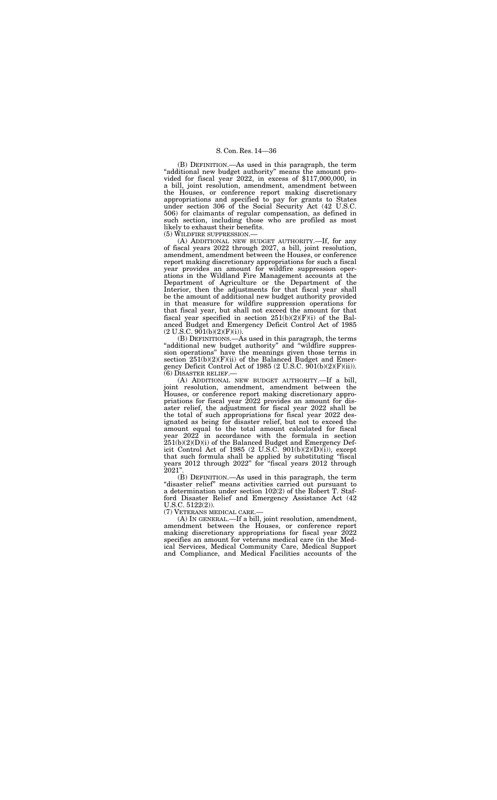(B) DEFINITION.—As used in this paragraph, the term "additional new budget authority" means the amount provided for fiscal year 2022, in excess of \$117,000,000, in a bill, joint resolution, amendment, amendment between the Houses, or conference report making discretionary appropriations and specified to pay for grants to States under section 306 of the Social Security Act (42 U.S.C. 506) for claimants of regular compensation, as defined in such section, including those who are profiled as most likely to exhaust their benefits.

(A) ADDITIONAL NEW BUDGET AUTHORITY.—If, for any of fiscal years 2022 through 2027, a bill, joint resolution, amendment, amendment between the Houses, or conference report making discretionary appropriations for such a fiscal year provides an amount for wildfire suppression operations in the Wildland Fire Management accounts at the Department of Agriculture or the Department of the Interior, then the adjustments for that fiscal year shall be the amount of additional new budget authority provided in that measure for wildfire suppression operations for that fiscal year, but shall not exceed the amount for that fiscal year specified in section 251(b)(2)(F)(i) of the Balanced Budget and Emergency Deficit Control Act of 1985  $(2 \text{ U.S.C. } 901(b)(2)(F)(i)).$ 

(5) WILDFIRE SUPPRESSION.—

(A) ADDITIONAL NEW BUDGET AUTHORITY.—If a bill, joint resolution, amendment, amendment between the Houses, or conference report making discretionary appropriations for fiscal year 2022 provides an amount for disaster relief, the adjustment for fiscal year 2022 shall be the total of such appropriations for fiscal year 2022 designated as being for disaster relief, but not to exceed the amount equal to the total amount calculated for fiscal year 2022 in accordance with the formula in section  $251(b)(2)(D)(i)$  of the Balanced Budget and Emergency Deficit Control Act of 1985 (2 U.S.C. 901(b)(2)(D)(i)), except that such formula shall be applied by substituting ''fiscal years 2012 through 2022'' for ''fiscal years 2012 through  $2021'$ 

(B) DEFINITIONS.—As used in this paragraph, the terms ''additional new budget authority'' and ''wildfire suppression operations'' have the meanings given those terms in section  $251(b)(2)(F)(ii)$  of the Balanced Budget and Emergency Deficit Control Act of 1985 (2 U.S.C.  $901(b)(2)(F)(ii)$ ). (6) DISASTER RELIEF.—

(B) DEFINITION.—As used in this paragraph, the term ''disaster relief'' means activities carried out pursuant to a determination under section 102(2) of the Robert T. Stafford Disaster Relief and Emergency Assistance Act (42 U.S.C. 5122(2)).

(7) VETERANS MEDICAL CARE.—

(A) IN GENERAL.—If a bill, joint resolution, amendment, amendment between the Houses, or conference report making discretionary appropriations for fiscal year 2022 specifies an amount for veterans medical care (in the Medical Services, Medical Community Care, Medical Support and Compliance, and Medical Facilities accounts of the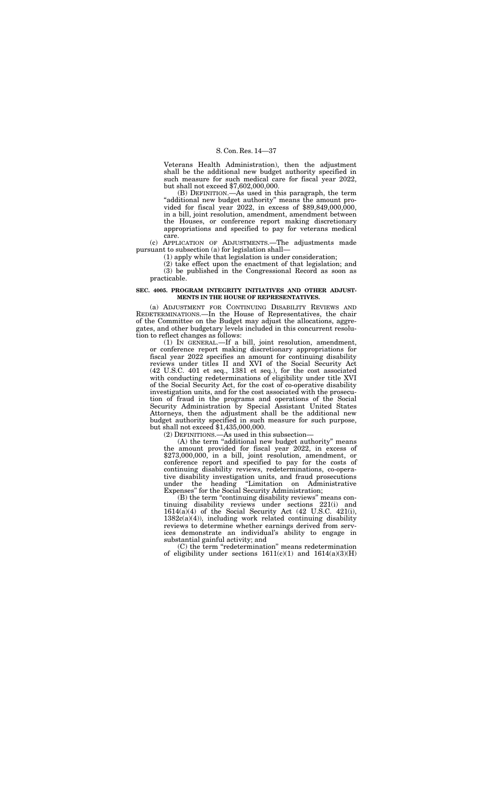Veterans Health Administration), then the adjustment shall be the additional new budget authority specified in such measure for such medical care for fiscal year 2022, but shall not exceed \$7,602,000,000.

(B) DEFINITION.—As used in this paragraph, the term "additional new budget authority" means the amount provided for fiscal year 2022, in excess of \$89,849,000,000, in a bill, joint resolution, amendment, amendment between the Houses, or conference report making discretionary appropriations and specified to pay for veterans medical care.

(c) APPLICATION OF ADJUSTMENTS.—The adjustments made pursuant to subsection (a) for legislation shall—

(1) apply while that legislation is under consideration;

(2) take effect upon the enactment of that legislation; and (3) be published in the Congressional Record as soon as practicable.

## **SEC. 4005. PROGRAM INTEGRITY INITIATIVES AND OTHER ADJUST-MENTS IN THE HOUSE OF REPRESENTATIVES.**

(A) the term ''additional new budget authority'' means the amount provided for fiscal year 2022, in excess of \$273,000,000, in a bill, joint resolution, amendment, or conference report and specified to pay for the costs of continuing disability reviews, redeterminations, co-operative disability investigation units, and fraud prosecutions under the heading ''Limitation on Administrative Expenses" for the Social Security Administration;

(a) ADJUSTMENT FOR CONTINUING DISABILITY REVIEWS AND REDETERMINATIONS.—In the House of Representatives, the chair of the Committee on the Budget may adjust the allocations, aggregates, and other budgetary levels included in this concurrent resolution to reflect changes as follows:

> (B) the term "continuing disability reviews" means continuing disability reviews under sections 221(i) and  $1614(a)(4)$  of the Social Security Act (42 U.S.C. 421(i),  $1382c(a)(4)$ , including work related continuing disability reviews to determine whether earnings derived from services demonstrate an individual's ability to engage in substantial gainful activity; and

> (C) the term ''redetermination'' means redetermination of eligibility under sections  $1611(c)(1)$  and  $1614(a)(3)(H)$

(1) IN GENERAL.—If a bill, joint resolution, amendment, or conference report making discretionary appropriations for fiscal year 2022 specifies an amount for continuing disability reviews under titles II and XVI of the Social Security Act (42 U.S.C. 401 et seq., 1381 et seq.), for the cost associated with conducting redeterminations of eligibility under title XVI of the Social Security Act, for the cost of co-operative disability investigation units, and for the cost associated with the prosecution of fraud in the programs and operations of the Social Security Administration by Special Assistant United States Attorneys, then the adjustment shall be the additional new budget authority specified in such measure for such purpose, but shall not exceed \$1,435,000,000.

(2) DEFINITIONS.—As used in this subsection—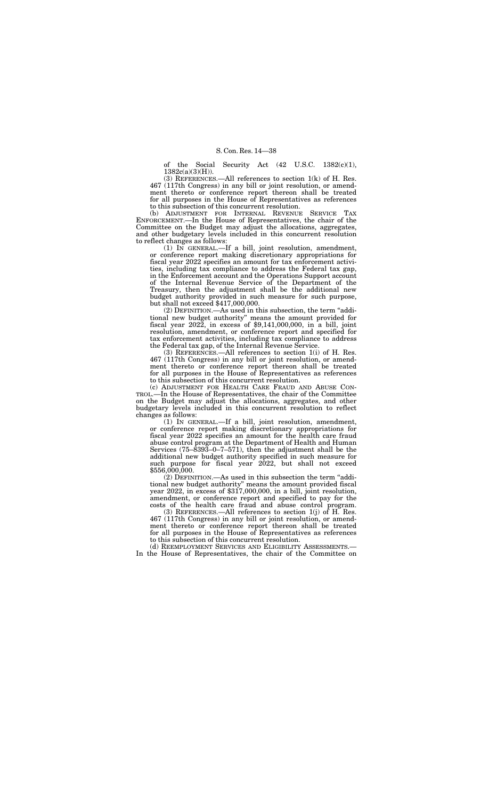of the Social Security Act  $(42 \text{ U.S.C. } 1382(\text{c})(1)),$  $1382c(a)(3)(H)$ ).

(3) REFERENCES.—All references to section  $1(k)$  of H. Res. 467 (117th Congress) in any bill or joint resolution, or amendment thereto or conference report thereon shall be treated for all purposes in the House of Representatives as references to this subsection of this concurrent resolution.

(b) ADJUSTMENT FOR INTERNAL REVENUE SERVICE TAX ENFORCEMENT.—In the House of Representatives, the chair of the Committee on the Budget may adjust the allocations, aggregates, and other budgetary levels included in this concurrent resolution to reflect changes as follows:

(1) IN GENERAL.—If a bill, joint resolution, amendment, or conference report making discretionary appropriations for fiscal year 2022 specifies an amount for tax enforcement activities, including tax compliance to address the Federal tax gap, in the Enforcement account and the Operations Support account of the Internal Revenue Service of the Department of the Treasury, then the adjustment shall be the additional new budget authority provided in such measure for such purpose, but shall not exceed \$417,000,000.

(2) DEFINITION.—As used in this subsection, the term ''additional new budget authority'' means the amount provided for fiscal year 2022, in excess of \$9,141,000,000, in a bill, joint resolution, amendment, or conference report and specified for tax enforcement activities, including tax compliance to address the Federal tax gap, of the Internal Revenue Service.

(d) REEMPLOYMENT SERVICES AND ELIGIBILITY ASSESSMENTS. In the House of Representatives, the chair of the Committee on

(3) REFERENCES.—All references to section 1(i) of H. Res. 467 (117th Congress) in any bill or joint resolution, or amendment thereto or conference report thereon shall be treated for all purposes in the House of Representatives as references to this subsection of this concurrent resolution.

(c) ADJUSTMENT FOR HEALTH CARE FRAUD AND ABUSE CON-TROL.—In the House of Representatives, the chair of the Committee on the Budget may adjust the allocations, aggregates, and other budgetary levels included in this concurrent resolution to reflect changes as follows:

(1) IN GENERAL.—If a bill, joint resolution, amendment, or conference report making discretionary appropriations for fiscal year 2022 specifies an amount for the health care fraud abuse control program at the Department of Health and Human Services (75–8393–0–7–571), then the adjustment shall be the additional new budget authority specified in such measure for such purpose for fiscal year 2022, but shall not exceed \$556,000,000.

(2) DEFINITION.—As used in this subsection the term ''additional new budget authority'' means the amount provided fiscal year 2022, in excess of \$317,000,000, in a bill, joint resolution, amendment, or conference report and specified to pay for the costs of the health care fraud and abuse control program.

(3) REFERENCES.—All references to section 1(j) of H. Res. 467 (117th Congress) in any bill or joint resolution, or amendment thereto or conference report thereon shall be treated for all purposes in the House of Representatives as references to this subsection of this concurrent resolution.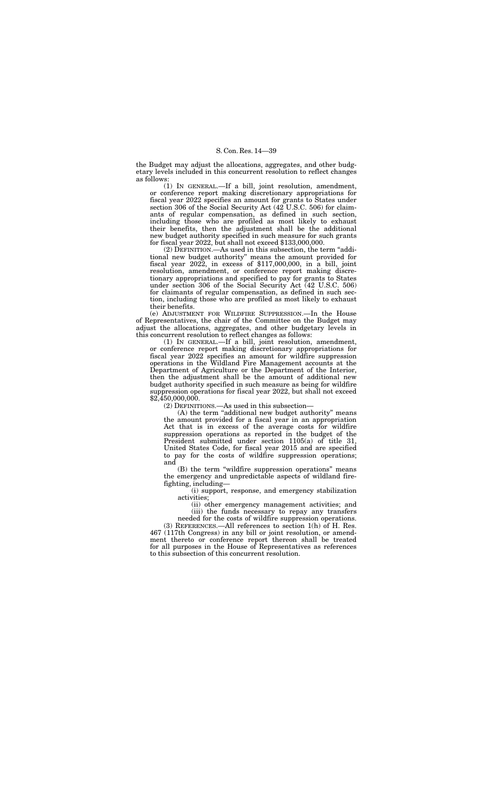the Budget may adjust the allocations, aggregates, and other budgetary levels included in this concurrent resolution to reflect changes as follows:

(1) IN GENERAL.—If a bill, joint resolution, amendment, or conference report making discretionary appropriations for fiscal year 2022 specifies an amount for grants to States under section 306 of the Social Security Act (42 U.S.C. 506) for claimants of regular compensation, as defined in such section, including those who are profiled as most likely to exhaust their benefits, then the adjustment shall be the additional new budget authority specified in such measure for such grants for fiscal year 2022, but shall not exceed \$133,000,000.

(1) IN GENERAL.—If a bill, joint resolution, amendment, or conference report making discretionary appropriations for fiscal year 2022 specifies an amount for wildfire suppression operations in the Wildland Fire Management accounts at the Department of Agriculture or the Department of the Interior, then the adjustment shall be the amount of additional new budget authority specified in such measure as being for wildfire suppression operations for fiscal year 2022, but shall not exceed  $$2,450,000,000.$ 

(2) DEFINITION.—As used in this subsection, the term ''additional new budget authority'' means the amount provided for fiscal year 2022, in excess of \$117,000,000, in a bill, joint resolution, amendment, or conference report making discretionary appropriations and specified to pay for grants to States under section 306 of the Social Security Act (42 U.S.C. 506) for claimants of regular compensation, as defined in such section, including those who are profiled as most likely to exhaust their benefits.

(e) ADJUSTMENT FOR WILDFIRE SUPPRESSION.—In the House of Representatives, the chair of the Committee on the Budget may adjust the allocations, aggregates, and other budgetary levels in this concurrent resolution to reflect changes as follows:

(2) DEFINITIONS.—As used in this subsection—

(A) the term ''additional new budget authority'' means the amount provided for a fiscal year in an appropriation Act that is in excess of the average costs for wildfire suppression operations as reported in the budget of the President submitted under section 1105(a) of title 31, United States Code, for fiscal year 2015 and are specified to pay for the costs of wildfire suppression operations; and

(B) the term ''wildfire suppression operations'' means the emergency and unpredictable aspects of wildland firefighting, including—

(i) support, response, and emergency stabilization activities;

(ii) other emergency management activities; and (iii) the funds necessary to repay any transfers

needed for the costs of wildfire suppression operations. (3) REFERENCES.—All references to section 1(h) of H. Res. 467 (117th Congress) in any bill or joint resolution, or amendment thereto or conference report thereon shall be treated for all purposes in the House of Representatives as references to this subsection of this concurrent resolution.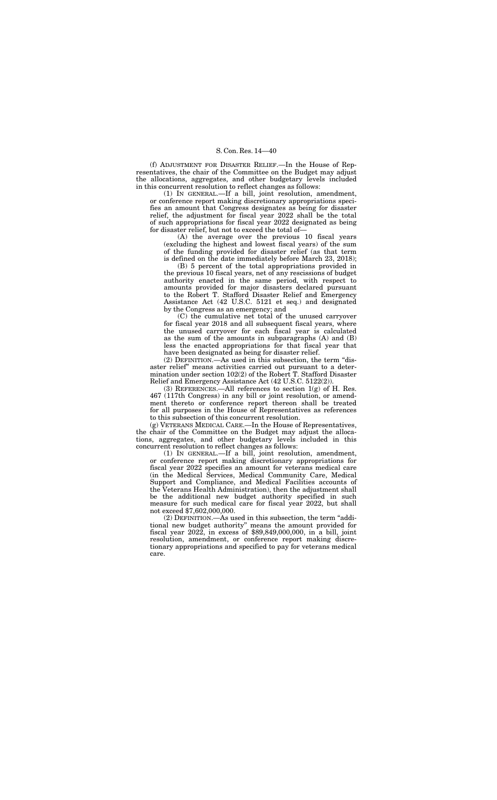(f) ADJUSTMENT FOR DISASTER RELIEF.—In the House of Representatives, the chair of the Committee on the Budget may adjust the allocations, aggregates, and other budgetary levels included in this concurrent resolution to reflect changes as follows:

(1) IN GENERAL.—If a bill, joint resolution, amendment, or conference report making discretionary appropriations specifies an amount that Congress designates as being for disaster relief, the adjustment for fiscal year 2022 shall be the total of such appropriations for fiscal year 2022 designated as being for disaster relief, but not to exceed the total of—

(A) the average over the previous 10 fiscal years (excluding the highest and lowest fiscal years) of the sum of the funding provided for disaster relief (as that term is defined on the date immediately before March 23, 2018);

(B) 5 percent of the total appropriations provided in the previous 10 fiscal years, net of any rescissions of budget authority enacted in the same period, with respect to amounts provided for major disasters declared pursuant to the Robert T. Stafford Disaster Relief and Emergency Assistance Act (42 U.S.C. 5121 et seq.) and designated by the Congress as an emergency; and

(3) REFERENCES.—All references to section  $1(g)$  of H. Res. 467 (117th Congress) in any bill or joint resolution, or amendment thereto or conference report thereon shall be treated for all purposes in the House of Representatives as references to this subsection of this concurrent resolution.

(C) the cumulative net total of the unused carryover for fiscal year 2018 and all subsequent fiscal years, where the unused carryover for each fiscal year is calculated as the sum of the amounts in subparagraphs (A) and (B) less the enacted appropriations for that fiscal year that have been designated as being for disaster relief.

(2) DEFINITION.—As used in this subsection, the term ''disaster relief'' means activities carried out pursuant to a determination under section 102(2) of the Robert T. Stafford Disaster Relief and Emergency Assistance Act (42 U.S.C. 5122(2)).

(g) VETERANS MEDICAL CARE.—In the House of Representatives, the chair of the Committee on the Budget may adjust the allocations, aggregates, and other budgetary levels included in this concurrent resolution to reflect changes as follows:

(1) IN GENERAL.—If a bill, joint resolution, amendment, or conference report making discretionary appropriations for fiscal year 2022 specifies an amount for veterans medical care (in the Medical Services, Medical Community Care, Medical Support and Compliance, and Medical Facilities accounts of the Veterans Health Administration), then the adjustment shall be the additional new budget authority specified in such measure for such medical care for fiscal year 2022, but shall not exceed \$7,602,000,000.

(2) DEFINITION.—As used in this subsection, the term ''additional new budget authority'' means the amount provided for fiscal year 2022, in excess of \$89,849,000,000, in a bill, joint resolution, amendment, or conference report making discretionary appropriations and specified to pay for veterans medical care.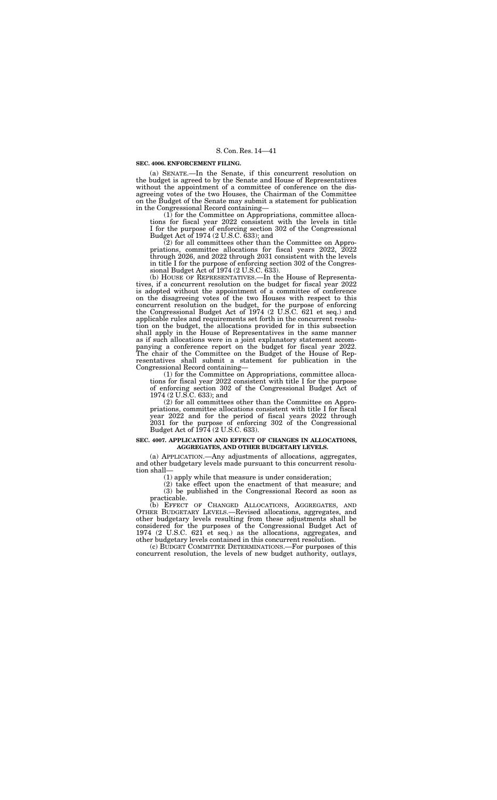# **SEC. 4006. ENFORCEMENT FILING.**

(a) SENATE.—In the Senate, if this concurrent resolution on the budget is agreed to by the Senate and House of Representatives without the appointment of a committee of conference on the disagreeing votes of the two Houses, the Chairman of the Committee on the Budget of the Senate may submit a statement for publication in the Congressional Record containing—

(1) for the Committee on Appropriations, committee allocations for fiscal year 2022 consistent with the levels in title I for the purpose of enforcing section 302 of the Congressional Budget Act of 1974 (2 U.S.C. 633); and

(2) for all committees other than the Committee on Appropriations, committee allocations for fiscal years 2022, 2022 through 2026, and 2022 through 2031 consistent with the levels in title I for the purpose of enforcing section 302 of the Congressional Budget Act of 1974 (2 U.S.C. 633).

(b) HOUSE OF REPRESENTATIVES.—In the House of Representatives, if a concurrent resolution on the budget for fiscal year 2022 is adopted without the appointment of a committee of conference on the disagreeing votes of the two Houses with respect to this concurrent resolution on the budget, for the purpose of enforcing the Congressional Budget Act of 1974 (2 U.S.C. 621 et seq.) and applicable rules and requirements set forth in the concurrent resolution on the budget, the allocations provided for in this subsection shall apply in the House of Representatives in the same manner as if such allocations were in a joint explanatory statement accompanying a conference report on the budget for fiscal year 2022. The chair of the Committee on the Budget of the House of Representatives shall submit a statement for publication in the Congressional Record containing—

(1) for the Committee on Appropriations, committee allocations for fiscal year 2022 consistent with title I for the purpose of enforcing section 302 of the Congressional Budget Act of 1974 (2 U.S.C. 633); and

(2) for all committees other than the Committee on Appropriations, committee allocations consistent with title I for fiscal year 2022 and for the period of fiscal years 2022 through 2031 for the purpose of enforcing 302 of the Congressional Budget Act of 1974 (2 U.S.C. 633).

# **SEC. 4007. APPLICATION AND EFFECT OF CHANGES IN ALLOCATIONS, AGGREGATES, AND OTHER BUDGETARY LEVELS.**

(a) APPLICATION.—Any adjustments of allocations, aggregates, and other budgetary levels made pursuant to this concurrent resolution shall—

(1) apply while that measure is under consideration;

(2) take effect upon the enactment of that measure; and (3) be published in the Congressional Record as soon as practicable.

(b) EFFECT OF CHANGED ALLOCATIONS, AGGREGATES, AND OTHER BUDGETARY LEVELS.—Revised allocations, aggregates, and other budgetary levels resulting from these adjustments shall be considered for the purposes of the Congressional Budget Act of 1974 (2 U.S.C. 621 et seq.) as the allocations, aggregates, and other budgetary levels contained in this concurrent resolution.

(c) BUDGET COMMITTEE DETERMINATIONS.—For purposes of this concurrent resolution, the levels of new budget authority, outlays,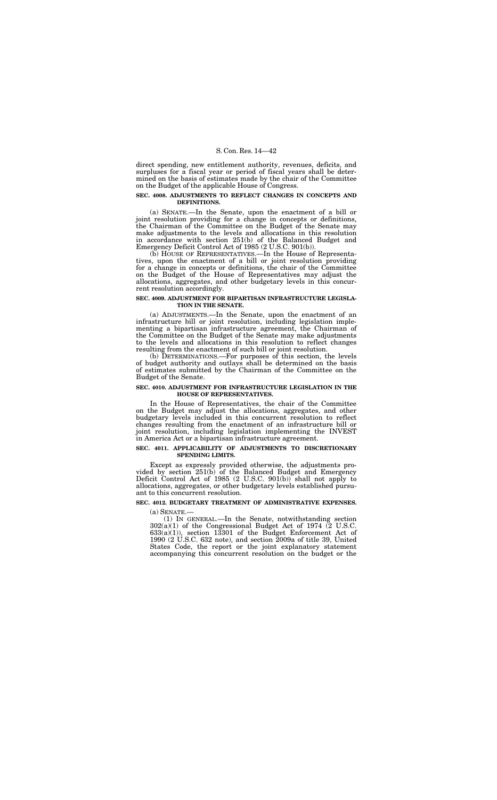direct spending, new entitlement authority, revenues, deficits, and surpluses for a fiscal year or period of fiscal years shall be determined on the basis of estimates made by the chair of the Committee on the Budget of the applicable House of Congress.

#### **SEC. 4008. ADJUSTMENTS TO REFLECT CHANGES IN CONCEPTS AND DEFINITIONS.**

(a) SENATE.—In the Senate, upon the enactment of a bill or joint resolution providing for a change in concepts or definitions, the Chairman of the Committee on the Budget of the Senate may make adjustments to the levels and allocations in this resolution in accordance with section 251(b) of the Balanced Budget and Emergency Deficit Control Act of 1985 (2 U.S.C. 901(b)).

(b) HOUSE OF REPRESENTATIVES.—In the House of Representatives, upon the enactment of a bill or joint resolution providing for a change in concepts or definitions, the chair of the Committee on the Budget of the House of Representatives may adjust the allocations, aggregates, and other budgetary levels in this concurrent resolution accordingly.

## **SEC. 4009. ADJUSTMENT FOR BIPARTISAN INFRASTRUCTURE LEGISLA-TION IN THE SENATE.**

(a) ADJUSTMENTS.—In the Senate, upon the enactment of an infrastructure bill or joint resolution, including legislation implementing a bipartisan infrastructure agreement, the Chairman of the Committee on the Budget of the Senate may make adjustments to the levels and allocations in this resolution to reflect changes resulting from the enactment of such bill or joint resolution.

(b) DETERMINATIONS.—For purposes of this section, the levels of budget authority and outlays shall be determined on the basis of estimates submitted by the Chairman of the Committee on the Budget of the Senate.

# **SEC. 4010. ADJUSTMENT FOR INFRASTRUCTURE LEGISLATION IN THE HOUSE OF REPRESENTATIVES.**

In the House of Representatives, the chair of the Committee on the Budget may adjust the allocations, aggregates, and other budgetary levels included in this concurrent resolution to reflect changes resulting from the enactment of an infrastructure bill or joint resolution, including legislation implementing the INVEST in America Act or a bipartisan infrastructure agreement.

## **SEC. 4011. APPLICABILITY OF ADJUSTMENTS TO DISCRETIONARY SPENDING LIMITS.**

Except as expressly provided otherwise, the adjustments provided by section 251(b) of the Balanced Budget and Emergency Deficit Control Act of 1985 (2 U.S.C. 901(b)) shall not apply to allocations, aggregates, or other budgetary levels established pursuant to this concurrent resolution.

#### **SEC. 4012. BUDGETARY TREATMENT OF ADMINISTRATIVE EXPENSES.**

(a) SENATE.—

(1) IN GENERAL.—In the Senate, notwithstanding section  $302(a)(1)$  of the Congressional Budget Act of 1974 (2 U.S.C. 633(a)(1)), section 13301 of the Budget Enforcement Act of 1990 (2 U.S.C. 632 note), and section 2009a of title 39, United States Code, the report or the joint explanatory statement accompanying this concurrent resolution on the budget or the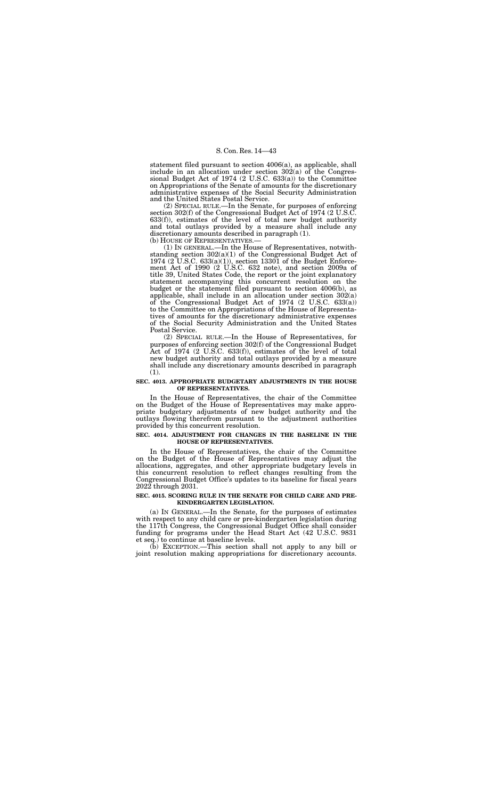(2) SPECIAL RULE.—In the Senate, for purposes of enforcing section 302(f) of the Congressional Budget Act of 1974 (2 U.S.C. 633(f)), estimates of the level of total new budget authority and total outlays provided by a measure shall include any discretionary amounts described in paragraph (1).<br>(b) HOUSE OF REPRESENTATIVES.—

statement filed pursuant to section 4006(a), as applicable, shall include in an allocation under section 302(a) of the Congressional Budget Act of 1974 (2 U.S.C. 633(a)) to the Committee on Appropriations of the Senate of amounts for the discretionary administrative expenses of the Social Security Administration and the United States Postal Service.

 $(1)$  IN GENERAL.—In the House of Representatives, notwithstanding section 302(a)(1) of the Congressional Budget Act of 1974 (2 U.S.C. 633(a)(1)), section 13301 of the Budget Enforcement Act of 1990 (2 U.S.C. 632 note), and section 2009a of title 39, United States Code, the report or the joint explanatory statement accompanying this concurrent resolution on the budget or the statement filed pursuant to section 4006(b), as applicable, shall include in an allocation under section  $302(a)$ of the Congressional Budget Act of 1974 (2 U.S.C. 633(a)) to the Committee on Appropriations of the House of Representatives of amounts for the discretionary administrative expenses of the Social Security Administration and the United States Postal Service.

(2) SPECIAL RULE.—In the House of Representatives, for purposes of enforcing section 302(f) of the Congressional Budget Act of 1974 (2 U.S.C. 633(f)), estimates of the level of total new budget authority and total outlays provided by a measure shall include any discretionary amounts described in paragraph (1).

#### **SEC. 4013. APPROPRIATE BUDGETARY ADJUSTMENTS IN THE HOUSE OF REPRESENTATIVES.**

In the House of Representatives, the chair of the Committee on the Budget of the House of Representatives may make appropriate budgetary adjustments of new budget authority and the outlays flowing therefrom pursuant to the adjustment authorities provided by this concurrent resolution.

## **SEC. 4014. ADJUSTMENT FOR CHANGES IN THE BASELINE IN THE HOUSE OF REPRESENTATIVES.**

In the House of Representatives, the chair of the Committee on the Budget of the House of Representatives may adjust the allocations, aggregates, and other appropriate budgetary levels in this concurrent resolution to reflect changes resulting from the Congressional Budget Office's updates to its baseline for fiscal years 2022 through 2031.

#### **SEC. 4015. SCORING RULE IN THE SENATE FOR CHILD CARE AND PRE-KINDERGARTEN LEGISLATION.**

(a) IN GENERAL.—In the Senate, for the purposes of estimates with respect to any child care or pre-kindergarten legislation during the 117th Congress, the Congressional Budget Office shall consider funding for programs under the Head Start Act (42 U.S.C. 9831 et seq.) to continue at baseline levels.

(b) EXCEPTION.—This section shall not apply to any bill or joint resolution making appropriations for discretionary accounts.